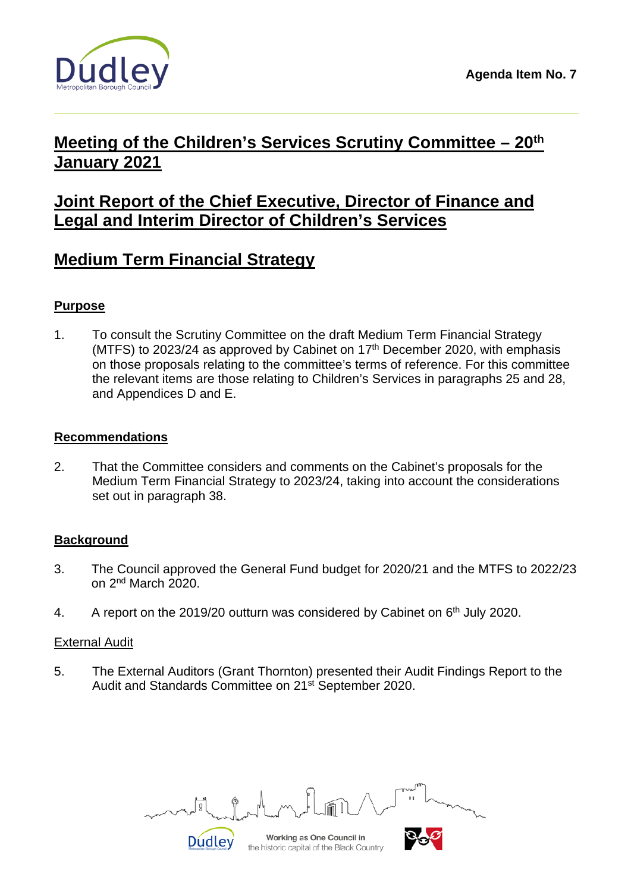

# **Meeting of the Children's Services Scrutiny Committee – 20th January 2021**

## **Joint Report of the Chief Executive, Director of Finance and Legal and Interim Director of Children's Services**

# **Medium Term Financial Strategy**

### **Purpose**

1. To consult the Scrutiny Committee on the draft Medium Term Financial Strategy (MTFS) to 2023/24 as approved by Cabinet on  $17<sup>th</sup>$  December 2020, with emphasis on those proposals relating to the committee's terms of reference. For this committee the relevant items are those relating to Children's Services in paragraphs 25 and 28, and Appendices D and E.

#### **Recommendations**

2. That the Committee considers and comments on the Cabinet's proposals for the Medium Term Financial Strategy to 2023/24, taking into account the considerations set out in paragraph 38.

#### **Background**

- 3. The Council approved the General Fund budget for 2020/21 and the MTFS to 2022/23 on 2nd March 2020.
- 4. A report on the 2019/20 outturn was considered by Cabinet on  $6<sup>th</sup>$  July 2020.

#### External Audit

5. The External Auditors (Grant Thornton) presented their Audit Findings Report to the Audit and Standards Committee on 21<sup>st</sup> September 2020.

Working as One Council in **Dudley** 

the historic capital of the Black Country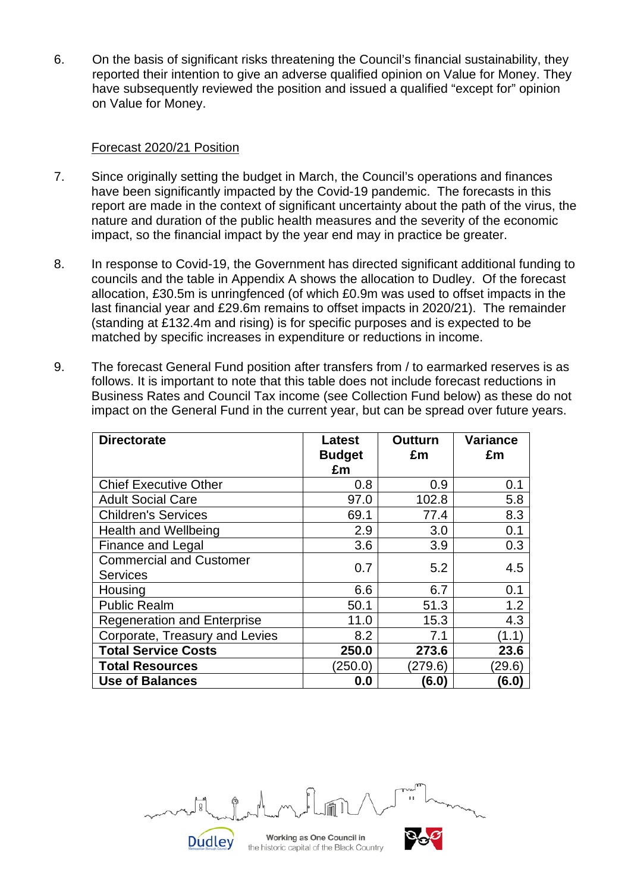6. On the basis of significant risks threatening the Council's financial sustainability, they reported their intention to give an adverse qualified opinion on Value for Money. They have subsequently reviewed the position and issued a qualified "except for" opinion on Value for Money.

#### Forecast 2020/21 Position

- 7. Since originally setting the budget in March, the Council's operations and finances have been significantly impacted by the Covid-19 pandemic. The forecasts in this report are made in the context of significant uncertainty about the path of the virus, the nature and duration of the public health measures and the severity of the economic impact, so the financial impact by the year end may in practice be greater.
- 8. In response to Covid-19, the Government has directed significant additional funding to councils and the table in Appendix A shows the allocation to Dudley. Of the forecast allocation, £30.5m is unringfenced (of which £0.9m was used to offset impacts in the last financial year and £29.6m remains to offset impacts in 2020/21). The remainder (standing at £132.4m and rising) is for specific purposes and is expected to be matched by specific increases in expenditure or reductions in income.
- 9. The forecast General Fund position after transfers from / to earmarked reserves is as follows. It is important to note that this table does not include forecast reductions in Business Rates and Council Tax income (see Collection Fund below) as these do not impact on the General Fund in the current year, but can be spread over future years.

| <b>Directorate</b>                                | <b>Latest</b><br><b>Budget</b><br>£m | <b>Outturn</b><br>£m | <b>Variance</b><br>£m |
|---------------------------------------------------|--------------------------------------|----------------------|-----------------------|
| <b>Chief Executive Other</b>                      | 0.8                                  | 0.9                  | 0.1                   |
| <b>Adult Social Care</b>                          | 97.0                                 | 102.8                | 5.8                   |
| <b>Children's Services</b>                        | 69.1                                 | 77.4                 | 8.3                   |
| <b>Health and Wellbeing</b>                       | 2.9                                  | 3.0                  | 0.1                   |
| Finance and Legal                                 | 3.6                                  | 3.9                  | 0.3                   |
| <b>Commercial and Customer</b><br><b>Services</b> | 0.7                                  | 5.2                  | 4.5                   |
| Housing                                           | 6.6                                  | 6.7                  | 0.1                   |
| <b>Public Realm</b>                               | 50.1                                 | 51.3                 | 1.2                   |
| <b>Regeneration and Enterprise</b>                | 11.0                                 | 15.3                 | 4.3                   |
| Corporate, Treasury and Levies                    | 8.2                                  | 7.1                  | (1.1)                 |
| <b>Total Service Costs</b>                        | 250.0                                | 273.6                | 23.6                  |
| <b>Total Resources</b>                            | (250.0)                              | (279.6)              | (29.6)                |
| <b>Use of Balances</b>                            | 0.0                                  | (6.0)                | (6.0)                 |

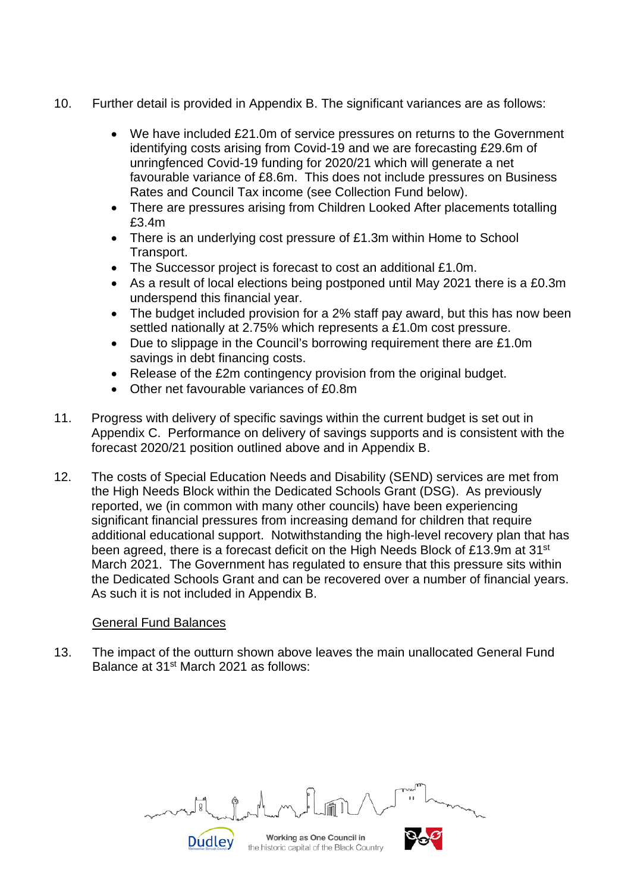- 10. Further detail is provided in Appendix B. The significant variances are as follows:
	- We have included £21.0m of service pressures on returns to the Government identifying costs arising from Covid-19 and we are forecasting £29.6m of unringfenced Covid-19 funding for 2020/21 which will generate a net favourable variance of £8.6m. This does not include pressures on Business Rates and Council Tax income (see Collection Fund below).
	- There are pressures arising from Children Looked After placements totalling £3.4m
	- There is an underlying cost pressure of £1.3m within Home to School Transport.
	- The Successor project is forecast to cost an additional £1.0m.
	- As a result of local elections being postponed until May 2021 there is a £0.3m underspend this financial year.
	- The budget included provision for a 2% staff pay award, but this has now been settled nationally at 2.75% which represents a £1.0m cost pressure.
	- Due to slippage in the Council's borrowing requirement there are £1.0m savings in debt financing costs.
	- Release of the £2m contingency provision from the original budget.
	- Other net favourable variances of £0.8m
- 11. Progress with delivery of specific savings within the current budget is set out in Appendix C. Performance on delivery of savings supports and is consistent with the forecast 2020/21 position outlined above and in Appendix B.
- 12. The costs of Special Education Needs and Disability (SEND) services are met from the High Needs Block within the Dedicated Schools Grant (DSG). As previously reported, we (in common with many other councils) have been experiencing significant financial pressures from increasing demand for children that require additional educational support. Notwithstanding the high-level recovery plan that has been agreed, there is a forecast deficit on the High Needs Block of £13.9m at 31<sup>st</sup> March 2021. The Government has regulated to ensure that this pressure sits within the Dedicated Schools Grant and can be recovered over a number of financial years. As such it is not included in Appendix B.

#### General Fund Balances

13. The impact of the outturn shown above leaves the main unallocated General Fund Balance at 31<sup>st</sup> March 2021 as follows:

Working as One Council in **Dudley** 

the historic capital of the Black Country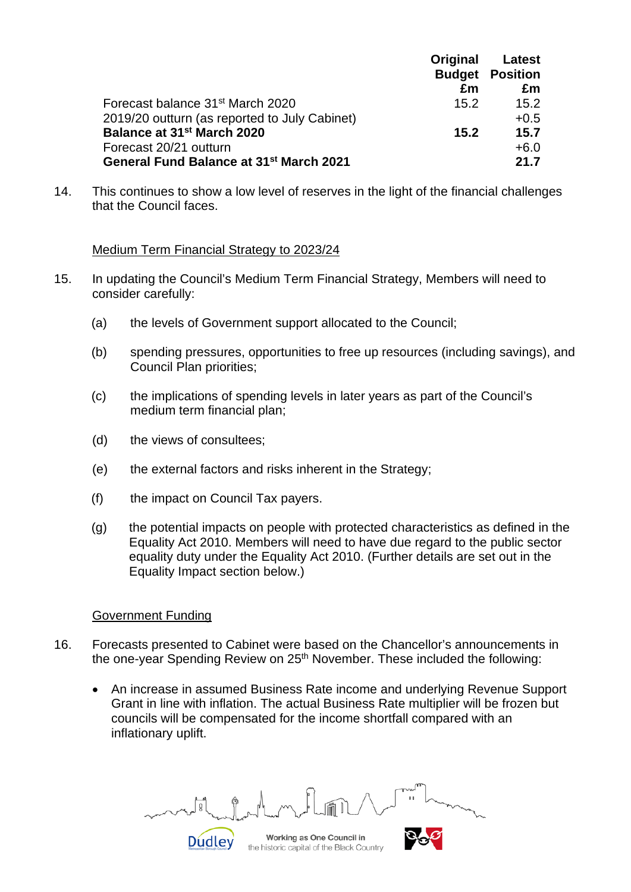|                                                     | Original | Latest                 |
|-----------------------------------------------------|----------|------------------------|
|                                                     |          | <b>Budget Position</b> |
|                                                     | £m       | £m                     |
| Forecast balance 31 <sup>st</sup> March 2020        | 15.2     | 15.2                   |
| 2019/20 outturn (as reported to July Cabinet)       |          | $+0.5$                 |
| Balance at 31 <sup>st</sup> March 2020              | 15.2     | 15.7                   |
| Forecast 20/21 outturn                              |          | $+6.0$                 |
| General Fund Balance at 31 <sup>st</sup> March 2021 |          | 21.7                   |

14. This continues to show a low level of reserves in the light of the financial challenges that the Council faces.

#### Medium Term Financial Strategy to 2023/24

- 15. In updating the Council's Medium Term Financial Strategy, Members will need to consider carefully:
	- (a) the levels of Government support allocated to the Council;
	- (b) spending pressures, opportunities to free up resources (including savings), and Council Plan priorities;
	- (c) the implications of spending levels in later years as part of the Council's medium term financial plan;
	- (d) the views of consultees;
	- (e) the external factors and risks inherent in the Strategy;
	- (f) the impact on Council Tax payers.
	- (g) the potential impacts on people with protected characteristics as defined in the Equality Act 2010. Members will need to have due regard to the public sector equality duty under the Equality Act 2010. (Further details are set out in the Equality Impact section below.)

#### Government Funding

- 16. Forecasts presented to Cabinet were based on the Chancellor's announcements in the one-vear Spending Review on 25<sup>th</sup> November. These included the following:
	- An increase in assumed Business Rate income and underlying Revenue Support Grant in line with inflation. The actual Business Rate multiplier will be frozen but councils will be compensated for the income shortfall compared with an inflationary uplift.

**Dudley** 

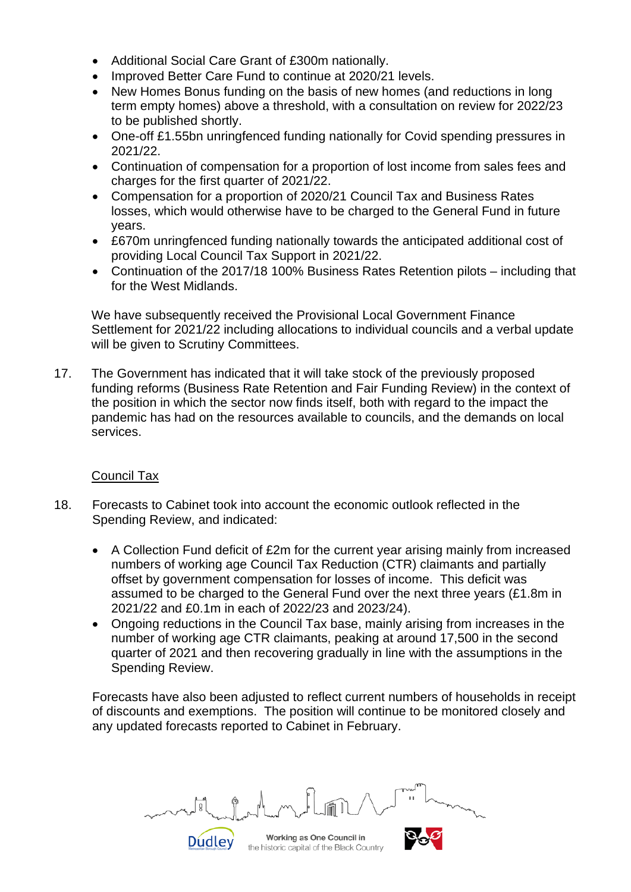- Additional Social Care Grant of £300m nationally.
- Improved Better Care Fund to continue at 2020/21 levels.
- New Homes Bonus funding on the basis of new homes (and reductions in long term empty homes) above a threshold, with a consultation on review for 2022/23 to be published shortly.
- One-off £1.55bn unringfenced funding nationally for Covid spending pressures in 2021/22.
- Continuation of compensation for a proportion of lost income from sales fees and charges for the first quarter of 2021/22.
- Compensation for a proportion of 2020/21 Council Tax and Business Rates losses, which would otherwise have to be charged to the General Fund in future years.
- £670m unringfenced funding nationally towards the anticipated additional cost of providing Local Council Tax Support in 2021/22.
- Continuation of the 2017/18 100% Business Rates Retention pilots including that for the West Midlands.

We have subsequently received the Provisional Local Government Finance Settlement for 2021/22 including allocations to individual councils and a verbal update will be given to Scrutiny Committees.

17. The Government has indicated that it will take stock of the previously proposed funding reforms (Business Rate Retention and Fair Funding Review) in the context of the position in which the sector now finds itself, both with regard to the impact the pandemic has had on the resources available to councils, and the demands on local services.

#### Council Tax

- 18. Forecasts to Cabinet took into account the economic outlook reflected in the Spending Review, and indicated:
	- A Collection Fund deficit of £2m for the current year arising mainly from increased numbers of working age Council Tax Reduction (CTR) claimants and partially offset by government compensation for losses of income. This deficit was assumed to be charged to the General Fund over the next three years (£1.8m in 2021/22 and £0.1m in each of 2022/23 and 2023/24).
	- Ongoing reductions in the Council Tax base, mainly arising from increases in the number of working age CTR claimants, peaking at around 17,500 in the second quarter of 2021 and then recovering gradually in line with the assumptions in the Spending Review.

Forecasts have also been adjusted to reflect current numbers of households in receipt of discounts and exemptions. The position will continue to be monitored closely and any updated forecasts reported to Cabinet in February.

Working as One Council in

the historic capital of the Black Country

**Dudley**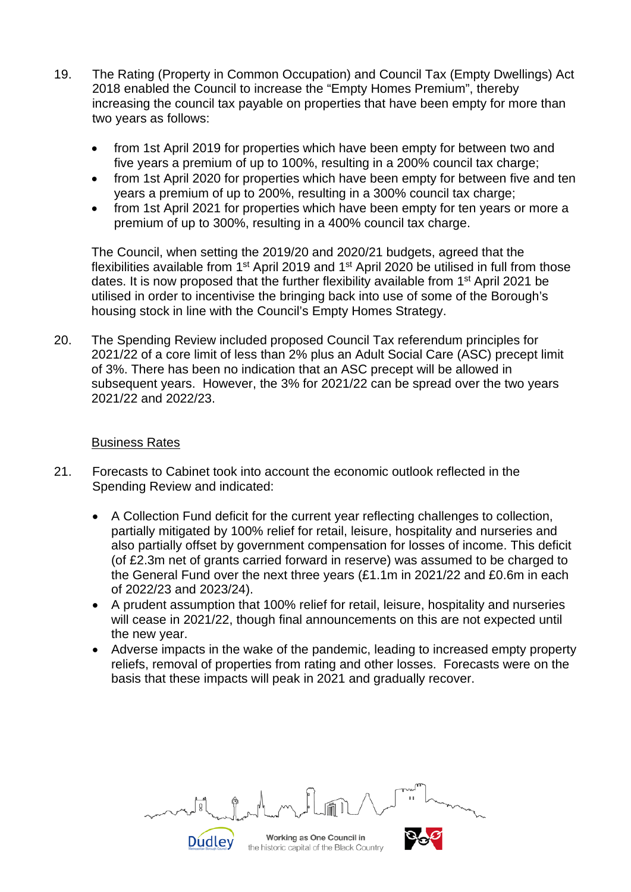- 19. The Rating (Property in Common Occupation) and Council Tax (Empty Dwellings) Act 2018 enabled the Council to increase the "Empty Homes Premium", thereby increasing the council tax payable on properties that have been empty for more than two years as follows:
	- from 1st April 2019 for properties which have been empty for between two and five years a premium of up to 100%, resulting in a 200% council tax charge;
	- from 1st April 2020 for properties which have been empty for between five and ten years a premium of up to 200%, resulting in a 300% council tax charge;
	- from 1st April 2021 for properties which have been empty for ten years or more a premium of up to 300%, resulting in a 400% council tax charge.

The Council, when setting the 2019/20 and 2020/21 budgets, agreed that the flexibilities available from 1<sup>st</sup> April 2019 and 1<sup>st</sup> April 2020 be utilised in full from those dates. It is now proposed that the further flexibility available from 1<sup>st</sup> April 2021 be utilised in order to incentivise the bringing back into use of some of the Borough's housing stock in line with the Council's Empty Homes Strategy.

20. The Spending Review included proposed Council Tax referendum principles for 2021/22 of a core limit of less than 2% plus an Adult Social Care (ASC) precept limit of 3%. There has been no indication that an ASC precept will be allowed in subsequent years. However, the 3% for 2021/22 can be spread over the two years 2021/22 and 2022/23.

#### Business Rates

- 21. Forecasts to Cabinet took into account the economic outlook reflected in the Spending Review and indicated:
	- A Collection Fund deficit for the current year reflecting challenges to collection, partially mitigated by 100% relief for retail, leisure, hospitality and nurseries and also partially offset by government compensation for losses of income. This deficit (of £2.3m net of grants carried forward in reserve) was assumed to be charged to the General Fund over the next three years (£1.1m in 2021/22 and £0.6m in each of 2022/23 and 2023/24).
	- A prudent assumption that 100% relief for retail, leisure, hospitality and nurseries will cease in 2021/22, though final announcements on this are not expected until the new year.
	- Adverse impacts in the wake of the pandemic, leading to increased empty property reliefs, removal of properties from rating and other losses. Forecasts were on the basis that these impacts will peak in 2021 and gradually recover.

Working as One Council in **Dudley** the historic capital of the Black Country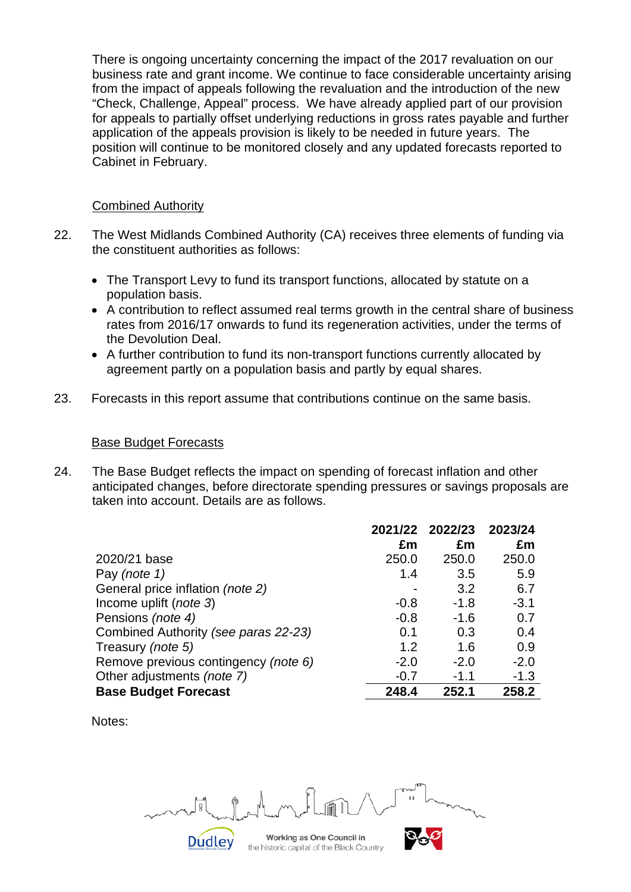There is ongoing uncertainty concerning the impact of the 2017 revaluation on our business rate and grant income. We continue to face considerable uncertainty arising from the impact of appeals following the revaluation and the introduction of the new "Check, Challenge, Appeal" process. We have already applied part of our provision for appeals to partially offset underlying reductions in gross rates payable and further application of the appeals provision is likely to be needed in future years. The position will continue to be monitored closely and any updated forecasts reported to Cabinet in February.

#### Combined Authority

- 22. The West Midlands Combined Authority (CA) receives three elements of funding via the constituent authorities as follows:
	- The Transport Levy to fund its transport functions, allocated by statute on a population basis.
	- A contribution to reflect assumed real terms growth in the central share of business rates from 2016/17 onwards to fund its regeneration activities, under the terms of the Devolution Deal.
	- A further contribution to fund its non-transport functions currently allocated by agreement partly on a population basis and partly by equal shares.
- 23. Forecasts in this report assume that contributions continue on the same basis.

#### Base Budget Forecasts

24. The Base Budget reflects the impact on spending of forecast inflation and other anticipated changes, before directorate spending pressures or savings proposals are taken into account. Details are as follows.

|                                      | 2021/22 | 2022/23 | 2023/24 |
|--------------------------------------|---------|---------|---------|
|                                      | £m      | £m      | £m      |
| 2020/21 base                         | 250.0   | 250.0   | 250.0   |
| Pay (note 1)                         | 1.4     | 3.5     | 5.9     |
| General price inflation (note 2)     |         | 3.2     | 6.7     |
| Income uplift ( <i>note 3</i> )      | $-0.8$  | $-1.8$  | $-3.1$  |
| Pensions (note 4)                    | $-0.8$  | $-1.6$  | 0.7     |
| Combined Authority (see paras 22-23) | 0.1     | 0.3     | 0.4     |
| Treasury (note 5)                    | 1.2     | 1.6     | 0.9     |
| Remove previous contingency (note 6) | $-2.0$  | $-2.0$  | $-2.0$  |
| Other adjustments (note 7)           | $-0.7$  | $-1.1$  | $-1.3$  |
| <b>Base Budget Forecast</b>          | 248.4   | 252.1   | 258.2   |

Notes:

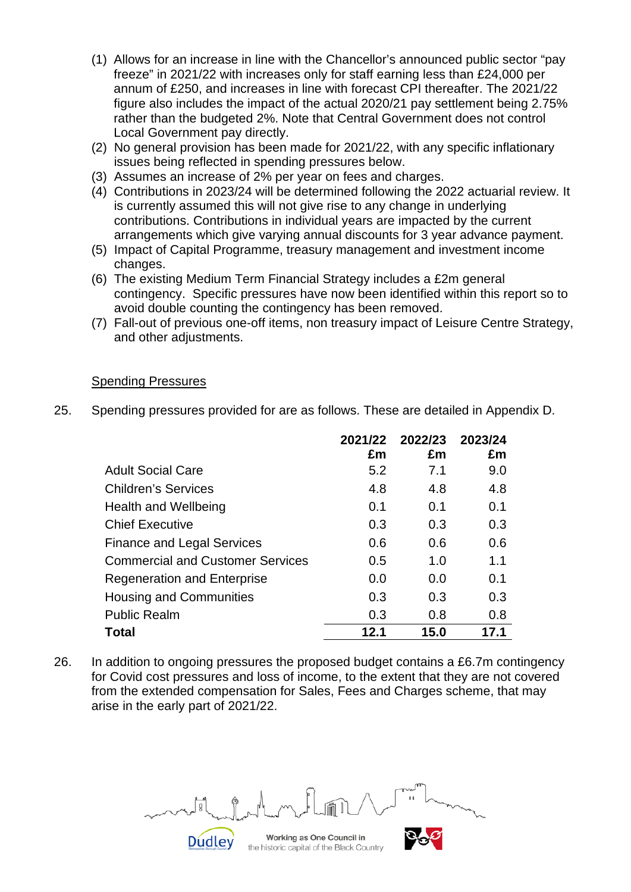- (1) Allows for an increase in line with the Chancellor's announced public sector "pay freeze" in 2021/22 with increases only for staff earning less than £24,000 per annum of £250, and increases in line with forecast CPI thereafter. The 2021/22 figure also includes the impact of the actual 2020/21 pay settlement being 2.75% rather than the budgeted 2%. Note that Central Government does not control Local Government pay directly.
- (2) No general provision has been made for 2021/22, with any specific inflationary issues being reflected in spending pressures below.
- (3) Assumes an increase of 2% per year on fees and charges.
- (4) Contributions in 2023/24 will be determined following the 2022 actuarial review. It is currently assumed this will not give rise to any change in underlying contributions. Contributions in individual years are impacted by the current arrangements which give varying annual discounts for 3 year advance payment.
- (5) Impact of Capital Programme, treasury management and investment income changes.
- (6) The existing Medium Term Financial Strategy includes a £2m general contingency. Specific pressures have now been identified within this report so to avoid double counting the contingency has been removed.
- (7) Fall-out of previous one-off items, non treasury impact of Leisure Centre Strategy, and other adjustments.

#### Spending Pressures

25. Spending pressures provided for are as follows. These are detailed in Appendix D.

|                                         | 2021/22<br>£m | 2022/23<br>£m | 2023/24<br>£m |
|-----------------------------------------|---------------|---------------|---------------|
| <b>Adult Social Care</b>                | 5.2           | 7.1           | 9.0           |
| <b>Children's Services</b>              | 4.8           | 4.8           | 4.8           |
| Health and Wellbeing                    | 0.1           | 0.1           | 0.1           |
| <b>Chief Executive</b>                  | 0.3           | 0.3           | 0.3           |
| <b>Finance and Legal Services</b>       | 0.6           | 0.6           | 0.6           |
| <b>Commercial and Customer Services</b> | 0.5           | 1.0           | 1.1           |
| <b>Regeneration and Enterprise</b>      | 0.0           | 0.0           | 0.1           |
| Housing and Communities                 | 0.3           | 0.3           | 0.3           |
| <b>Public Realm</b>                     | 0.3           | 0.8           | 0.8           |
| Total                                   | 12.1          | 15.0          | 17.1          |

26. In addition to ongoing pressures the proposed budget contains a £6.7m contingency for Covid cost pressures and loss of income, to the extent that they are not covered from the extended compensation for Sales, Fees and Charges scheme, that may arise in the early part of 2021/22.

Working as One Council in **Dudley** the historic capital of the Black Country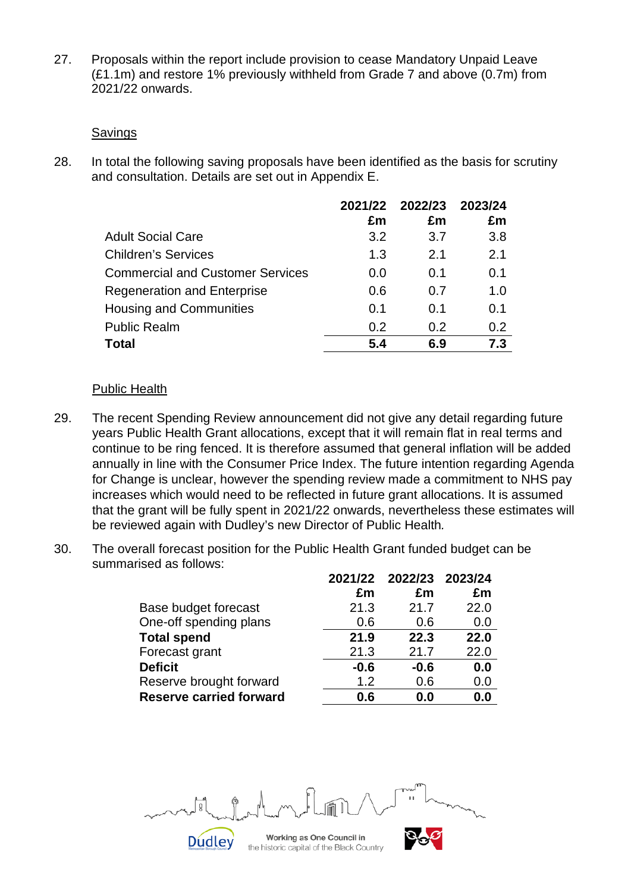27. Proposals within the report include provision to cease Mandatory Unpaid Leave (£1.1m) and restore 1% previously withheld from Grade 7 and above (0.7m) from 2021/22 onwards.

#### Savings

28. In total the following saving proposals have been identified as the basis for scrutiny and consultation. Details are set out in Appendix E.

|                                         | £m  | 2021/22 2022/23<br>£m | 2023/24<br>£m |
|-----------------------------------------|-----|-----------------------|---------------|
| <b>Adult Social Care</b>                | 3.2 | 3.7                   | 3.8           |
| <b>Children's Services</b>              | 1.3 | 2.1                   | 2.1           |
| <b>Commercial and Customer Services</b> | 0.0 | 0.1                   | 0.1           |
| <b>Regeneration and Enterprise</b>      | 0.6 | 0.7                   | 1.0           |
| <b>Housing and Communities</b>          | 0.1 | 0.1                   | 0.1           |
| <b>Public Realm</b>                     | 0.2 | 0.2                   | 0.2           |
| <b>Total</b>                            | 5.4 | 6.9                   | 7.3           |

#### Public Health

- 29. The recent Spending Review announcement did not give any detail regarding future years Public Health Grant allocations, except that it will remain flat in real terms and continue to be ring fenced. It is therefore assumed that general inflation will be added annually in line with the Consumer Price Index. The future intention regarding Agenda for Change is unclear, however the spending review made a commitment to NHS pay increases which would need to be reflected in future grant allocations. It is assumed that the grant will be fully spent in 2021/22 onwards, nevertheless these estimates will be reviewed again with Dudley's new Director of Public Health*.*
- 30. The overall forecast position for the Public Health Grant funded budget can be summarised as follows:

|                                |        | 2021/22 2022/23 2023/24 |      |
|--------------------------------|--------|-------------------------|------|
|                                | £m     | £m                      | £m   |
| Base budget forecast           | 21.3   | 21.7                    | 22.0 |
| One-off spending plans         | 0.6    | 0.6                     | 0.0  |
| <b>Total spend</b>             | 21.9   | 22.3                    | 22.0 |
| Forecast grant                 | 21.3   | 21.7                    | 22.0 |
| <b>Deficit</b>                 | $-0.6$ | $-0.6$                  | 0.0  |
| Reserve brought forward        | 1.2    | 0.6                     | 0.0  |
| <b>Reserve carried forward</b> | 0.6    | 0.0                     | 0.0  |

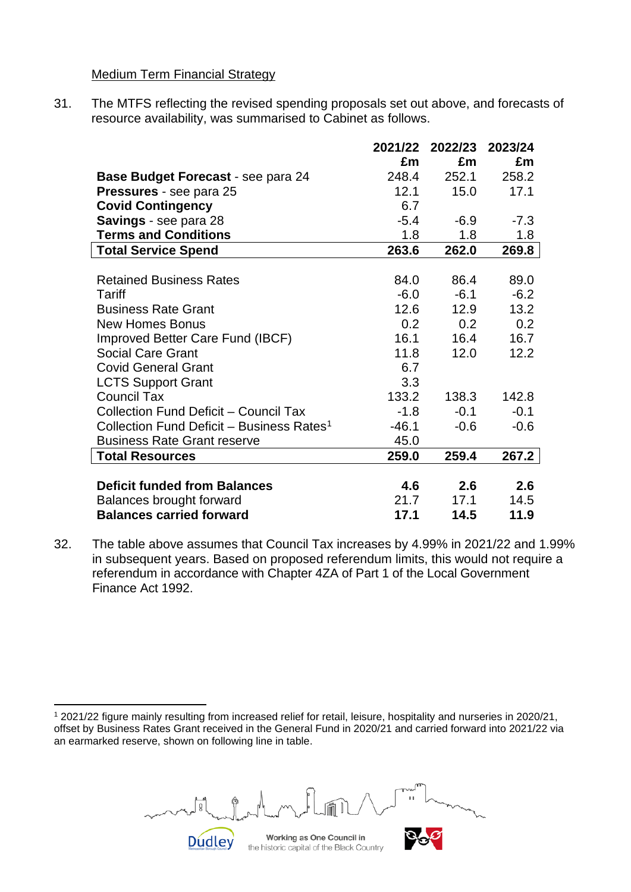#### Medium Term Financial Strategy

31. The MTFS reflecting the revised spending proposals set out above, and forecasts of resource availability, was summarised to Cabinet as follows.

|                                                       | 2021/22 | 2022/23          | 2023/24 |
|-------------------------------------------------------|---------|------------------|---------|
|                                                       | £m      | £m               | £m      |
| <b>Base Budget Forecast - see para 24</b>             | 248.4   | 252.1            | 258.2   |
| Pressures - see para 25                               | 12.1    | 15.0             | 17.1    |
| <b>Covid Contingency</b>                              | 6.7     |                  |         |
| <b>Savings</b> - see para 28                          | $-5.4$  | $-6.9$           | $-7.3$  |
| <b>Terms and Conditions</b>                           | 1.8     | 1.8              | 1.8     |
| <b>Total Service Spend</b>                            | 263.6   | 262.0            | 269.8   |
|                                                       |         |                  |         |
| <b>Retained Business Rates</b>                        | 84.0    | 86.4             | 89.0    |
| Tariff                                                | $-6.0$  | $-6.1$           | $-6.2$  |
| <b>Business Rate Grant</b>                            | 12.6    | 12.9             | 13.2    |
| <b>New Homes Bonus</b>                                | 0.2     | 0.2 <sub>0</sub> | 0.2     |
| Improved Better Care Fund (IBCF)                      | 16.1    | 16.4             | 16.7    |
| <b>Social Care Grant</b>                              | 11.8    | 12.0             | 12.2    |
| <b>Covid General Grant</b>                            | 6.7     |                  |         |
| <b>LCTS Support Grant</b>                             | 3.3     |                  |         |
| <b>Council Tax</b>                                    | 133.2   | 138.3            | 142.8   |
| Collection Fund Deficit - Council Tax                 | $-1.8$  | $-0.1$           | $-0.1$  |
| Collection Fund Deficit - Business Rates <sup>1</sup> | $-46.1$ | $-0.6$           | $-0.6$  |
| <b>Business Rate Grant reserve</b>                    | 45.0    |                  |         |
| <b>Total Resources</b>                                | 259.0   | 259.4            | 267.2   |
|                                                       |         |                  |         |
| <b>Deficit funded from Balances</b>                   | 4.6     | 2.6              | 2.6     |
| Balances brought forward                              | 21.7    | 17.1             | 14.5    |
| <b>Balances carried forward</b>                       | 17.1    | 14.5             | 11.9    |

32. The table above assumes that Council Tax increases by 4.99% in 2021/22 and 1.99% in subsequent years. Based on proposed referendum limits, this would not require a referendum in accordance with Chapter 4ZA of Part 1 of the Local Government Finance Act 1992.

<span id="page-9-0"></span><sup>1</sup> 2021/22 figure mainly resulting from increased relief for retail, leisure, hospitality and nurseries in 2020/21, offset by Business Rates Grant received in the General Fund in 2020/21 and carried forward into 2021/22 via an earmarked reserve, shown on following line in table.



Working as One Council in the historic capital of the Black Country

**Dudley** 

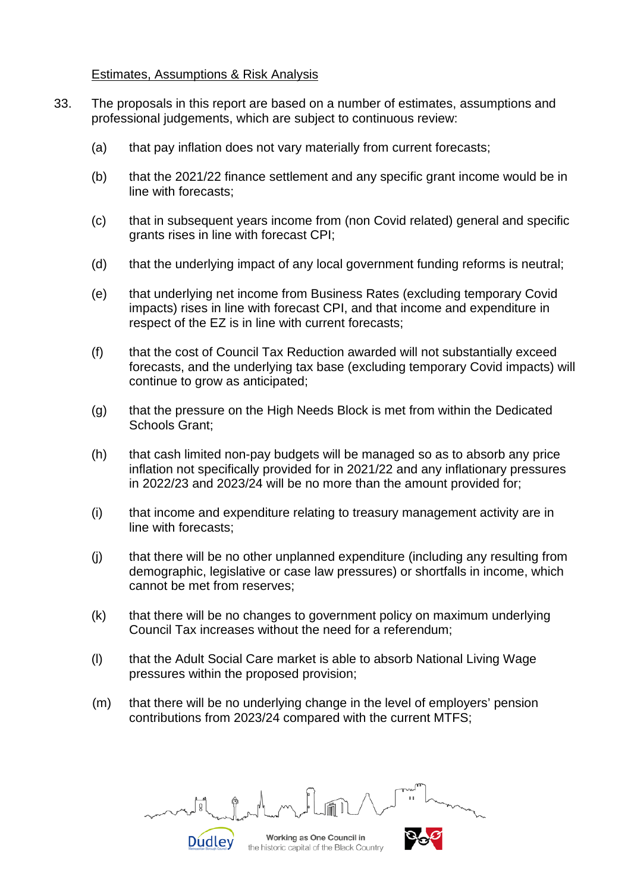#### Estimates, Assumptions & Risk Analysis

- 33. The proposals in this report are based on a number of estimates, assumptions and professional judgements, which are subject to continuous review:
	- (a) that pay inflation does not vary materially from current forecasts;
	- (b) that the 2021/22 finance settlement and any specific grant income would be in line with forecasts;
	- (c) that in subsequent years income from (non Covid related) general and specific grants rises in line with forecast CPI;
	- (d) that the underlying impact of any local government funding reforms is neutral;
	- (e) that underlying net income from Business Rates (excluding temporary Covid impacts) rises in line with forecast CPI, and that income and expenditure in respect of the EZ is in line with current forecasts;
	- (f) that the cost of Council Tax Reduction awarded will not substantially exceed forecasts, and the underlying tax base (excluding temporary Covid impacts) will continue to grow as anticipated;
	- (g) that the pressure on the High Needs Block is met from within the Dedicated Schools Grant;
	- (h) that cash limited non-pay budgets will be managed so as to absorb any price inflation not specifically provided for in 2021/22 and any inflationary pressures in 2022/23 and 2023/24 will be no more than the amount provided for;
	- (i) that income and expenditure relating to treasury management activity are in line with forecasts;
	- (j) that there will be no other unplanned expenditure (including any resulting from demographic, legislative or case law pressures) or shortfalls in income, which cannot be met from reserves;
	- (k) that there will be no changes to government policy on maximum underlying Council Tax increases without the need for a referendum;
	- (l) that the Adult Social Care market is able to absorb National Living Wage pressures within the proposed provision;
	- (m) that there will be no underlying change in the level of employers' pension contributions from 2023/24 compared with the current MTFS;

Working as One Council in **Dudley** 

the historic capital of the Black Country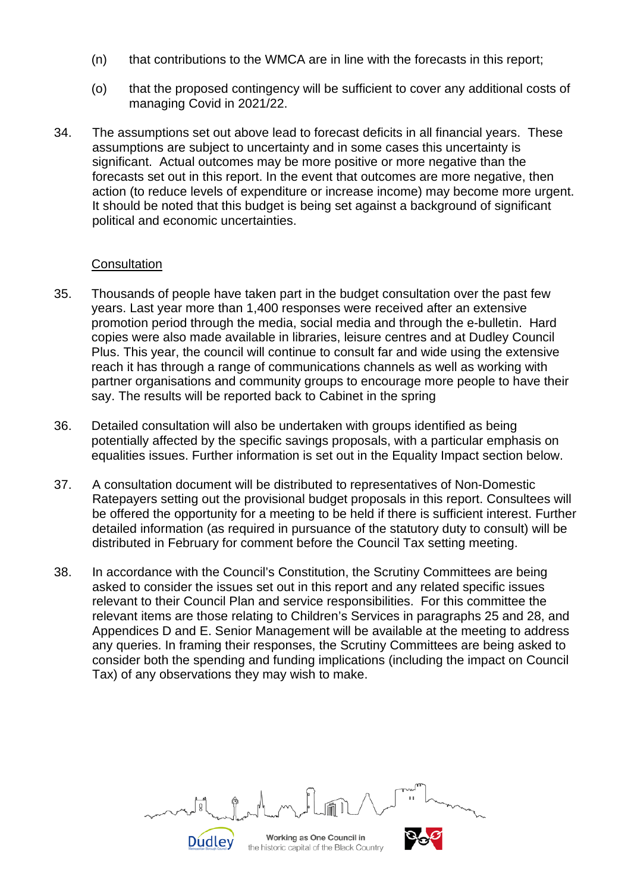- (n) that contributions to the WMCA are in line with the forecasts in this report;
- (o) that the proposed contingency will be sufficient to cover any additional costs of managing Covid in 2021/22.
- 34. The assumptions set out above lead to forecast deficits in all financial years. These assumptions are subject to uncertainty and in some cases this uncertainty is significant. Actual outcomes may be more positive or more negative than the forecasts set out in this report. In the event that outcomes are more negative, then action (to reduce levels of expenditure or increase income) may become more urgent. It should be noted that this budget is being set against a background of significant political and economic uncertainties.

#### **Consultation**

- 35. Thousands of people have taken part in the budget consultation over the past few years. Last year more than 1,400 responses were received after an extensive promotion period through the media, social media and through the e-bulletin. Hard copies were also made available in libraries, leisure centres and at Dudley Council Plus. This year, the council will continue to consult far and wide using the extensive reach it has through a range of communications channels as well as working with partner organisations and community groups to encourage more people to have their say. The results will be reported back to Cabinet in the spring
- 36. Detailed consultation will also be undertaken with groups identified as being potentially affected by the specific savings proposals, with a particular emphasis on equalities issues. Further information is set out in the Equality Impact section below.
- 37. A consultation document will be distributed to representatives of Non-Domestic Ratepayers setting out the provisional budget proposals in this report. Consultees will be offered the opportunity for a meeting to be held if there is sufficient interest. Further detailed information (as required in pursuance of the statutory duty to consult) will be distributed in February for comment before the Council Tax setting meeting.
- 38. In accordance with the Council's Constitution, the Scrutiny Committees are being asked to consider the issues set out in this report and any related specific issues relevant to their Council Plan and service responsibilities. For this committee the relevant items are those relating to Children's Services in paragraphs 25 and 28, and Appendices D and E. Senior Management will be available at the meeting to address any queries. In framing their responses, the Scrutiny Committees are being asked to consider both the spending and funding implications (including the impact on Council Tax) of any observations they may wish to make.

Working as One Council in the historic capital of the Black Country

**Dudley**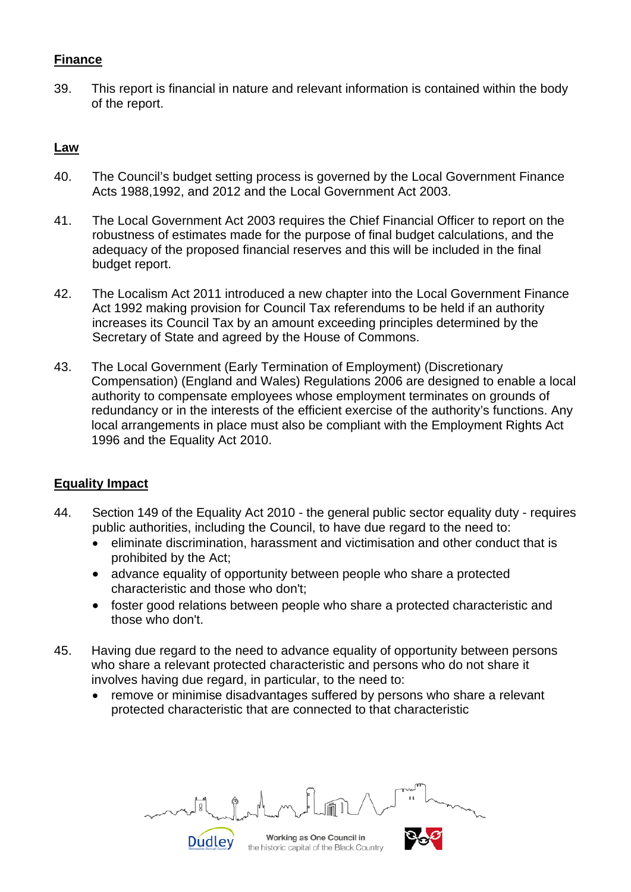### **Finance**

39. This report is financial in nature and relevant information is contained within the body of the report.

## **Law**

- 40. The Council's budget setting process is governed by the Local Government Finance Acts 1988,1992, and 2012 and the Local Government Act 2003.
- 41. The Local Government Act 2003 requires the Chief Financial Officer to report on the robustness of estimates made for the purpose of final budget calculations, and the adequacy of the proposed financial reserves and this will be included in the final budget report.
- 42. The Localism Act 2011 introduced a new chapter into the Local Government Finance Act 1992 making provision for Council Tax referendums to be held if an authority increases its Council Tax by an amount exceeding principles determined by the Secretary of State and agreed by the House of Commons.
- 43. The Local Government (Early Termination of Employment) (Discretionary Compensation) (England and Wales) Regulations 2006 are designed to enable a local authority to compensate employees whose employment terminates on grounds of redundancy or in the interests of the efficient exercise of the authority's functions. Any local arrangements in place must also be compliant with the Employment Rights Act 1996 and the Equality Act 2010.

## **Equality Impact**

- 44. Section 149 of the Equality Act 2010 the general public sector equality duty requires public authorities, including the Council, to have due regard to the need to:
	- eliminate discrimination, harassment and victimisation and other conduct that is prohibited by the Act;
	- advance equality of opportunity between people who share a protected characteristic and those who don't;
	- foster good relations between people who share a protected characteristic and those who don't.
- 45. Having due regard to the need to advance equality of opportunity between persons who share a relevant protected characteristic and persons who do not share it involves having due regard, in particular, to the need to:
	- remove or minimise disadvantages suffered by persons who share a relevant protected characteristic that are connected to that characteristic

Working as One Council in **Dudley** 

the historic capital of the Black Country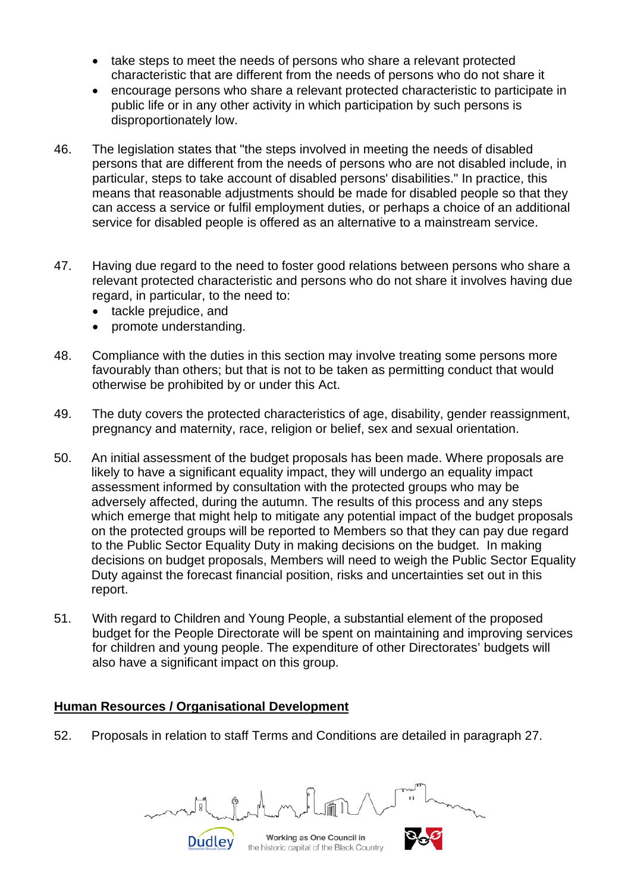- take steps to meet the needs of persons who share a relevant protected characteristic that are different from the needs of persons who do not share it
- encourage persons who share a relevant protected characteristic to participate in public life or in any other activity in which participation by such persons is disproportionately low.
- 46. The legislation states that "the steps involved in meeting the needs of disabled persons that are different from the needs of persons who are not disabled include, in particular, steps to take account of disabled persons' disabilities." In practice, this means that reasonable adjustments should be made for disabled people so that they can access a service or fulfil employment duties, or perhaps a choice of an additional service for disabled people is offered as an alternative to a mainstream service.
- 47. Having due regard to the need to foster good relations between persons who share a relevant protected characteristic and persons who do not share it involves having due regard, in particular, to the need to:
	- tackle prejudice, and
	- promote understanding.
- 48. Compliance with the duties in this section may involve treating some persons more favourably than others; but that is not to be taken as permitting conduct that would otherwise be prohibited by or under this Act.
- 49. The duty covers the protected characteristics of age, disability, gender reassignment, pregnancy and maternity, race, religion or belief, sex and sexual orientation.
- 50. An initial assessment of the budget proposals has been made. Where proposals are likely to have a significant equality impact, they will undergo an equality impact assessment informed by consultation with the protected groups who may be adversely affected, during the autumn. The results of this process and any steps which emerge that might help to mitigate any potential impact of the budget proposals on the protected groups will be reported to Members so that they can pay due regard to the Public Sector Equality Duty in making decisions on the budget. In making decisions on budget proposals, Members will need to weigh the Public Sector Equality Duty against the forecast financial position, risks and uncertainties set out in this report.
- 51. With regard to Children and Young People, a substantial element of the proposed budget for the People Directorate will be spent on maintaining and improving services for children and young people. The expenditure of other Directorates' budgets will also have a significant impact on this group.

#### **Human Resources / Organisational Development**

**Dudley** 

52. Proposals in relation to staff Terms and Conditions are detailed in paragraph 27.

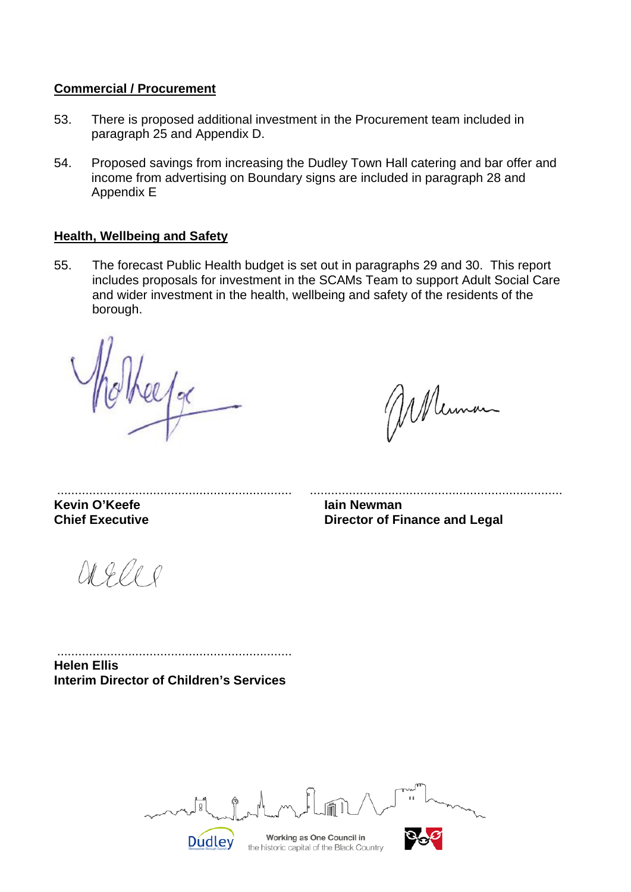#### **Commercial / Procurement**

- 53. There is proposed additional investment in the Procurement team included in paragraph 25 and Appendix D.
- 54. Proposed savings from increasing the Dudley Town Hall catering and bar offer and income from advertising on Boundary signs are included in paragraph 28 and Appendix E

#### **Health, Wellbeing and Safety**

55. The forecast Public Health budget is set out in paragraphs 29 and 30. This report includes proposals for investment in the SCAMs Team to support Adult Social Care and wider investment in the health, wellbeing and safety of the residents of the borough.

 $ell$ 

Mennan

**Kevin O'Keefe In the United States Chief Executive Iain Newman**<br> **Chief Executive I** Director of Fi

O1 g l e s

.................................................................. ....................................................................... **Director of Finance and Legal** 

.................................................................. **Helen Ellis Interim Director of Children's Services**

**Dudley** 

Working as One Council in

the historic capital of the Black Country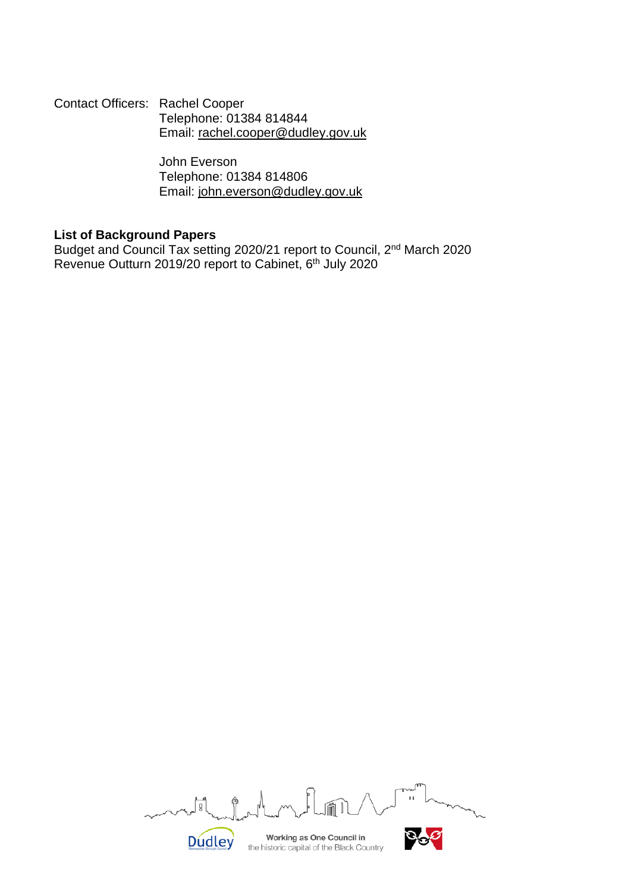Contact Officers: Rachel Cooper Telephone: 01384 814844 Email: [rachel.cooper@dudley.gov.uk](mailto:rachel.cooper@dudley.gov.uk)

> John Everson Telephone: 01384 814806 Email: [john.everson@dudley.gov.uk](mailto:john.everson@dudley.gov.uk)

#### **List of Background Papers**

Budget and Council Tax setting 2020/21 report to Council, 2nd March 2020 Revenue Outturn 2019/20 report to Cabinet, 6<sup>th</sup> July 2020

| $\sim$<br>m                                                            | TГ<br>TVW<br>$\mathbf{H}$ |
|------------------------------------------------------------------------|---------------------------|
| Working as One Council in<br>the historic capital of the Black Country |                           |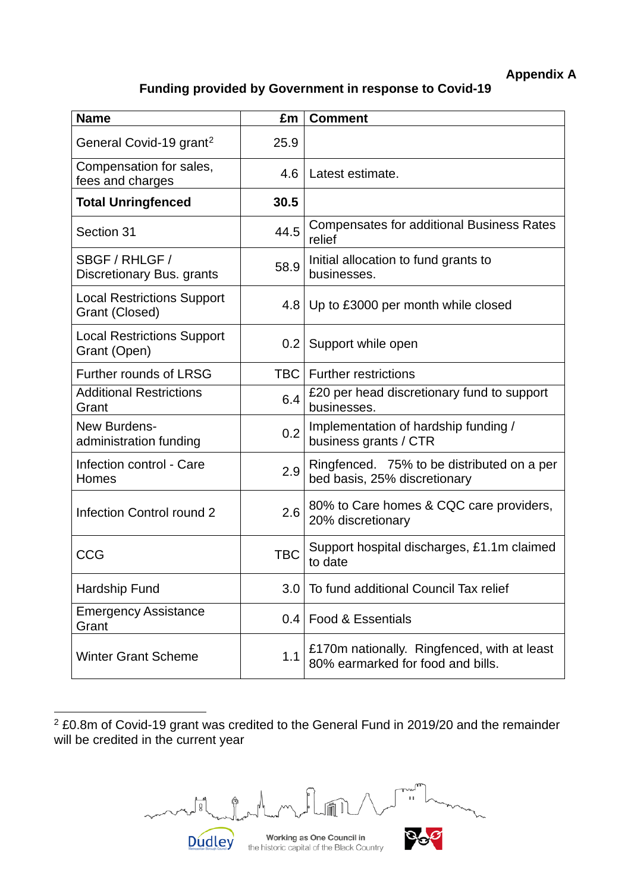### **Appendix A**

### **Funding provided by Government in response to Covid-19**

| <b>Name</b>                                         | £m               | <b>Comment</b>                                                                   |
|-----------------------------------------------------|------------------|----------------------------------------------------------------------------------|
| General Covid-19 grant <sup>2</sup>                 | 25.9             |                                                                                  |
| Compensation for sales,<br>fees and charges         | 4.6              | Latest estimate.                                                                 |
| <b>Total Unringfenced</b>                           | 30.5             |                                                                                  |
| Section 31                                          | 44.5             | <b>Compensates for additional Business Rates</b><br>relief                       |
| SBGF / RHLGF /<br>Discretionary Bus. grants         | 58.9             | Initial allocation to fund grants to<br>businesses.                              |
| <b>Local Restrictions Support</b><br>Grant (Closed) | 4.8              | Up to £3000 per month while closed                                               |
| <b>Local Restrictions Support</b><br>Grant (Open)   | 0.2 <sub>0</sub> | Support while open                                                               |
| Further rounds of LRSG                              | <b>TBC</b>       | <b>Further restrictions</b>                                                      |
| <b>Additional Restrictions</b><br>Grant             | 6.4              | £20 per head discretionary fund to support<br>businesses.                        |
| New Burdens-<br>administration funding              | 0.2              | Implementation of hardship funding /<br>business grants / CTR                    |
| Infection control - Care<br>Homes                   | 2.9              | Ringfenced. 75% to be distributed on a per<br>bed basis, 25% discretionary       |
| Infection Control round 2                           | 2.6              | 80% to Care homes & CQC care providers,<br>20% discretionary                     |
| CCG                                                 | <b>TBC</b>       | Support hospital discharges, £1.1m claimed<br>to date                            |
| Hardship Fund                                       | 3.0              | To fund additional Council Tax relief                                            |
| <b>Emergency Assistance</b><br>Grant                | 0.4              | Food & Essentials                                                                |
| <b>Winter Grant Scheme</b>                          | 1.1              | £170m nationally. Ringfenced, with at least<br>80% earmarked for food and bills. |

<span id="page-16-0"></span><sup>2</sup> £0.8m of Covid-19 grant was credited to the General Fund in 2019/20 and the remainder will be credited in the current year

month ᠕  $\mathbf{H}$  $\circledcirc$ **March 14** 

Working as One Council in the historic capital of the Black Country

**Dudley** 

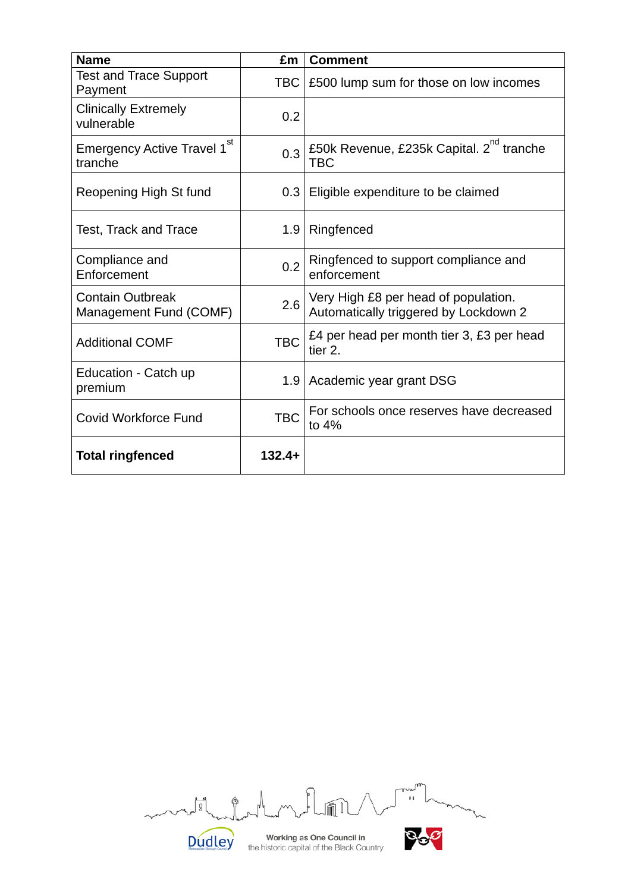| <b>Name</b>                                        | £m         | <b>Comment</b>                                                                |
|----------------------------------------------------|------------|-------------------------------------------------------------------------------|
| <b>Test and Trace Support</b><br>Payment           | <b>TBC</b> | £500 lump sum for those on low incomes                                        |
| <b>Clinically Extremely</b><br>vulnerable          | 0.2        |                                                                               |
| Emergency Active Travel 1 <sup>st</sup><br>tranche | 0.3        | £50k Revenue, £235k Capital. 2 <sup>nd</sup> tranche<br><b>TBC</b>            |
| Reopening High St fund                             | 0.3        | Eligible expenditure to be claimed                                            |
| Test, Track and Trace                              | 1.9        | Ringfenced                                                                    |
| Compliance and<br>Enforcement                      | 0.2        | Ringfenced to support compliance and<br>enforcement                           |
| <b>Contain Outbreak</b><br>Management Fund (COMF)  | 2.6        | Very High £8 per head of population.<br>Automatically triggered by Lockdown 2 |
| <b>Additional COMF</b>                             | <b>TBC</b> | £4 per head per month tier 3, £3 per head<br>tier 2.                          |
| Education - Catch up<br>premium                    | 1.9        | Academic year grant DSG                                                       |
| <b>Covid Workforce Fund</b>                        | <b>TBC</b> | For schools once reserves have decreased<br>to $4%$                           |
| <b>Total ringfenced</b>                            | $132.4+$   |                                                                               |

m  $\frac{1}{11}$  $\frac{1}{2}$ ¢ **Dudley** 

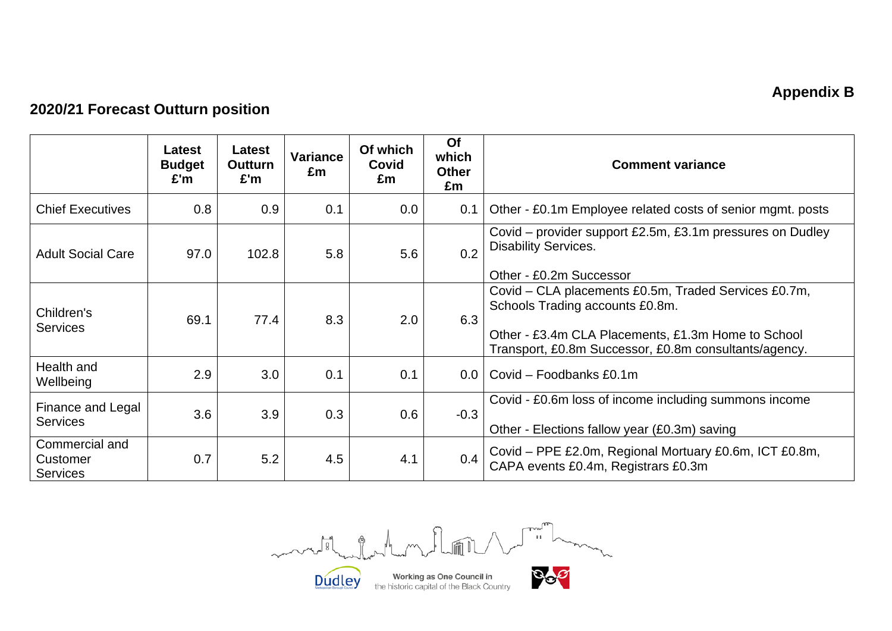## **Appendix B**

## **2020/21 Forecast Outturn position**

|                                               | Latest<br><b>Budget</b><br>£'m | <b>Latest</b><br><b>Outturn</b><br>E'm | Variance<br>£m | Of which<br>Covid<br>£m | Of<br>which<br><b>Other</b><br>£m | <b>Comment variance</b>                                                                                                                                                                                |
|-----------------------------------------------|--------------------------------|----------------------------------------|----------------|-------------------------|-----------------------------------|--------------------------------------------------------------------------------------------------------------------------------------------------------------------------------------------------------|
| <b>Chief Executives</b>                       | 0.8                            | 0.9                                    | 0.1            | 0.0                     | 0.1                               | Other - £0.1m Employee related costs of senior mgmt. posts                                                                                                                                             |
| <b>Adult Social Care</b>                      | 97.0                           | 102.8                                  | 5.8            | 5.6                     | 0.2                               | Covid – provider support £2.5m, £3.1m pressures on Dudley<br><b>Disability Services.</b><br>Other - £0.2m Successor                                                                                    |
| Children's<br><b>Services</b>                 | 69.1                           | 77.4                                   | 8.3            | 2.0                     | 6.3                               | Covid - CLA placements £0.5m, Traded Services £0.7m,<br>Schools Trading accounts £0.8m.<br>Other - £3.4m CLA Placements, £1.3m Home to School<br>Transport, £0.8m Successor, £0.8m consultants/agency. |
| Health and<br>Wellbeing                       | 2.9                            | 3.0                                    | 0.1            | 0.1                     | 0.0                               | Covid - Foodbanks £0.1m                                                                                                                                                                                |
| Finance and Legal<br><b>Services</b>          | 3.6                            | 3.9                                    | 0.3            | 0.6                     | $-0.3$                            | Covid - £0.6m loss of income including summons income<br>Other - Elections fallow year (£0.3m) saving                                                                                                  |
| Commercial and<br>Customer<br><b>Services</b> | 0.7                            | 5.2                                    | 4.5            | 4.1                     | 0.4                               | Covid - PPE £2.0m, Regional Mortuary £0.6m, ICT £0.8m,<br>CAPA events £0.4m, Registrars £0.3m                                                                                                          |

The Country Country Country Country Country Country Country Country Country Country Country Country Country Country Country Country Country Country Country Country Country Country Country Country Country Country Country Co month of home flow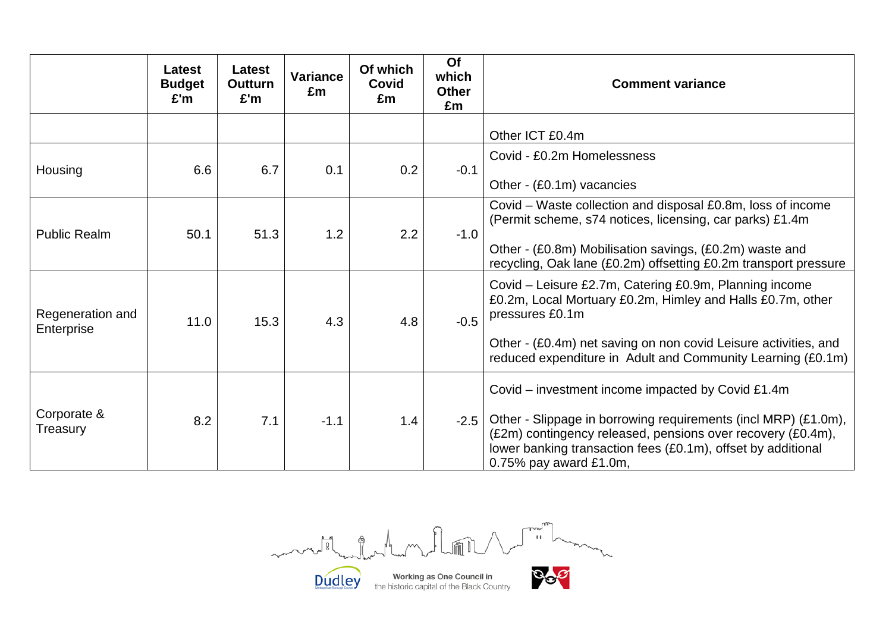|                                | Latest<br><b>Budget</b><br>£'m | <b>Latest</b><br><b>Outturn</b><br>£'m | <b>Variance</b><br>£m | Of which<br><b>Covid</b><br>£m | Of<br>which<br><b>Other</b><br>£m | <b>Comment variance</b>                                                                                                                                                                                                                                                         |
|--------------------------------|--------------------------------|----------------------------------------|-----------------------|--------------------------------|-----------------------------------|---------------------------------------------------------------------------------------------------------------------------------------------------------------------------------------------------------------------------------------------------------------------------------|
|                                |                                |                                        |                       |                                |                                   | Other ICT £0.4m                                                                                                                                                                                                                                                                 |
| Housing                        | 6.6                            | 6.7                                    | 0.1                   | 0.2                            | $-0.1$                            | Covid - £0.2m Homelessness<br>Other - (£0.1m) vacancies                                                                                                                                                                                                                         |
| <b>Public Realm</b>            | 50.1                           | 51.3                                   | 1.2                   | 2.2                            | $-1.0$                            | Covid – Waste collection and disposal £0.8m, loss of income<br>(Permit scheme, s74 notices, licensing, car parks) £1.4m<br>Other - (£0.8m) Mobilisation savings, (£0.2m) waste and<br>recycling, Oak lane (£0.2m) offsetting £0.2m transport pressure                           |
| Regeneration and<br>Enterprise | 11.0                           | 15.3                                   | 4.3                   | 4.8                            | $-0.5$                            | Covid – Leisure £2.7m, Catering £0.9m, Planning income<br>£0.2m, Local Mortuary £0.2m, Himley and Halls £0.7m, other<br>pressures £0.1m<br>Other - (£0.4m) net saving on non covid Leisure activities, and<br>reduced expenditure in Adult and Community Learning (£0.1m)       |
| Corporate &<br>Treasury        | 8.2                            | 7.1                                    | $-1.1$                | 1.4                            | $-2.5$                            | Covid – investment income impacted by Covid £1.4m<br>Other - Slippage in borrowing requirements (incl MRP) (£1.0m),<br>(£2m) contingency released, pensions over recovery (£0.4m),<br>lower banking transaction fees (£0.1m), offset by additional<br>$0.75\%$ pay award £1.0m, |

J in Links mutile la film DOP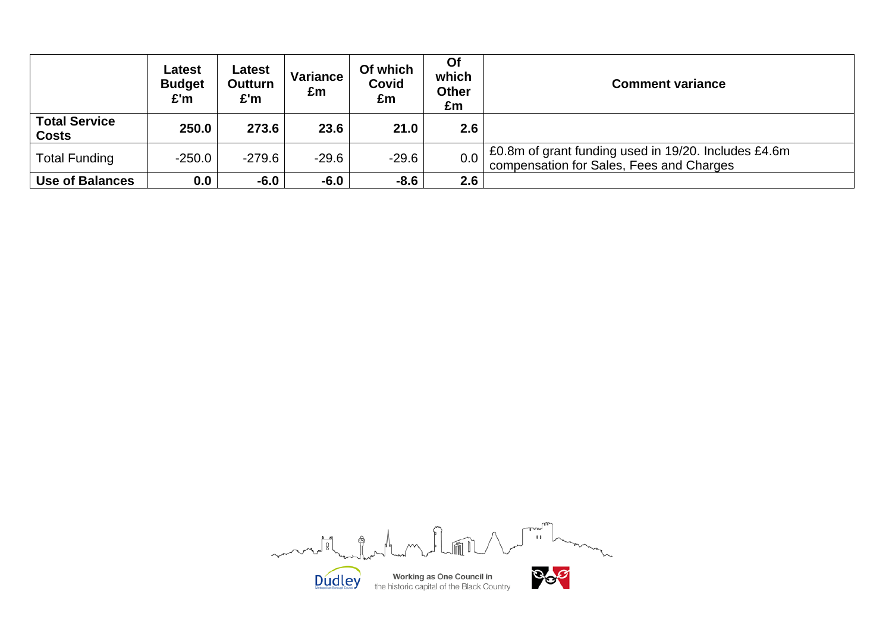|                                      | Latest<br><b>Budget</b><br>£'m | Latest<br><b>Outturn</b><br>£'m | <b>Variance</b><br>£m | Of which<br><b>Covid</b><br>£m | Of<br>which<br><b>Other</b><br>£m | <b>Comment variance</b>                                                                          |
|--------------------------------------|--------------------------------|---------------------------------|-----------------------|--------------------------------|-----------------------------------|--------------------------------------------------------------------------------------------------|
| <b>Total Service</b><br><b>Costs</b> | 250.0                          | 273.6                           | 23.6                  | 21.0                           | 2.6                               |                                                                                                  |
| <b>Total Funding</b>                 | $-250.0$                       | $-279.6$                        | $-29.6$               | $-29.6$                        | 0.0                               | £0.8m of grant funding used in 19/20. Includes £4.6m<br>compensation for Sales, Fees and Charges |
| <b>Use of Balances</b>               | 0.0                            | $-6.0$                          | $-6.0$                | $-8.6$                         | 2.6                               |                                                                                                  |

Limited the month of the contract of mars 18 mars for  $m$  $\mathcal{N}_{\eta}$ Dop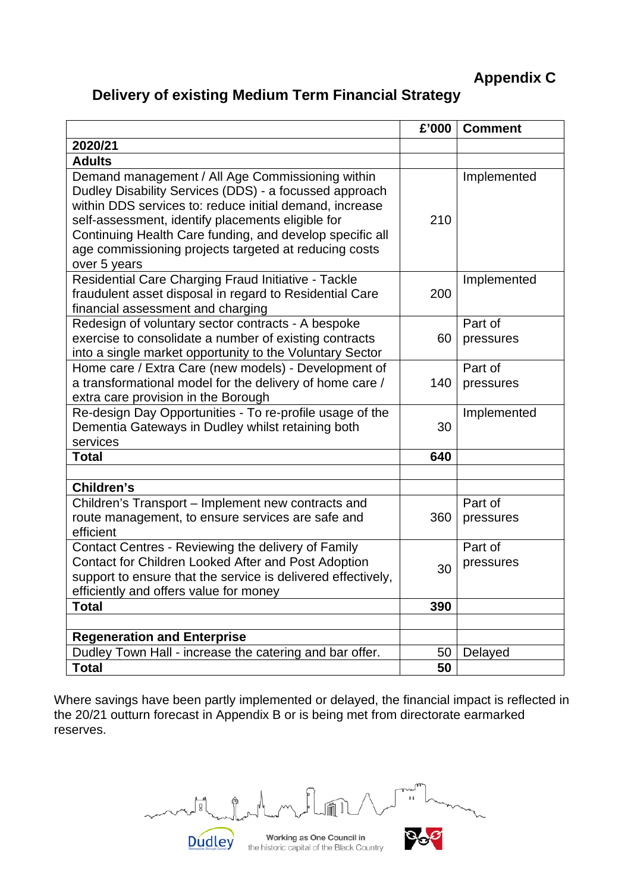**Appendix C**

## **Delivery of existing Medium Term Financial Strategy**

|                                                                                                                                                                                                                                                                                                                                                                 | £'000 | <b>Comment</b>       |
|-----------------------------------------------------------------------------------------------------------------------------------------------------------------------------------------------------------------------------------------------------------------------------------------------------------------------------------------------------------------|-------|----------------------|
| 2020/21                                                                                                                                                                                                                                                                                                                                                         |       |                      |
| <b>Adults</b>                                                                                                                                                                                                                                                                                                                                                   |       |                      |
| Demand management / All Age Commissioning within<br>Dudley Disability Services (DDS) - a focussed approach<br>within DDS services to: reduce initial demand, increase<br>self-assessment, identify placements eligible for<br>Continuing Health Care funding, and develop specific all<br>age commissioning projects targeted at reducing costs<br>over 5 years | 210   | Implemented          |
| Residential Care Charging Fraud Initiative - Tackle<br>fraudulent asset disposal in regard to Residential Care<br>financial assessment and charging                                                                                                                                                                                                             | 200   | Implemented          |
| Redesign of voluntary sector contracts - A bespoke<br>exercise to consolidate a number of existing contracts<br>into a single market opportunity to the Voluntary Sector                                                                                                                                                                                        | 60    | Part of<br>pressures |
| Home care / Extra Care (new models) - Development of<br>a transformational model for the delivery of home care /<br>extra care provision in the Borough                                                                                                                                                                                                         | 140   | Part of<br>pressures |
| Re-design Day Opportunities - To re-profile usage of the<br>Dementia Gateways in Dudley whilst retaining both<br>services                                                                                                                                                                                                                                       | 30    | Implemented          |
| <b>Total</b>                                                                                                                                                                                                                                                                                                                                                    | 640   |                      |
|                                                                                                                                                                                                                                                                                                                                                                 |       |                      |
| Children's                                                                                                                                                                                                                                                                                                                                                      |       |                      |
| Children's Transport - Implement new contracts and<br>route management, to ensure services are safe and<br>efficient                                                                                                                                                                                                                                            | 360   | Part of<br>pressures |
| Contact Centres - Reviewing the delivery of Family<br>Contact for Children Looked After and Post Adoption<br>support to ensure that the service is delivered effectively,<br>efficiently and offers value for money                                                                                                                                             | 30    | Part of<br>pressures |
| <b>Total</b>                                                                                                                                                                                                                                                                                                                                                    | 390   |                      |
|                                                                                                                                                                                                                                                                                                                                                                 |       |                      |
| <b>Regeneration and Enterprise</b>                                                                                                                                                                                                                                                                                                                              |       |                      |
| Dudley Town Hall - increase the catering and bar offer.                                                                                                                                                                                                                                                                                                         | 50    | Delayed              |
| <b>Total</b>                                                                                                                                                                                                                                                                                                                                                    | 50    |                      |

Where savings have been partly implemented or delayed, the financial impact is reflected in the 20/21 outturn forecast in Appendix B or is being met from directorate earmarked reserves.

*Blury* ¢ **Dudley**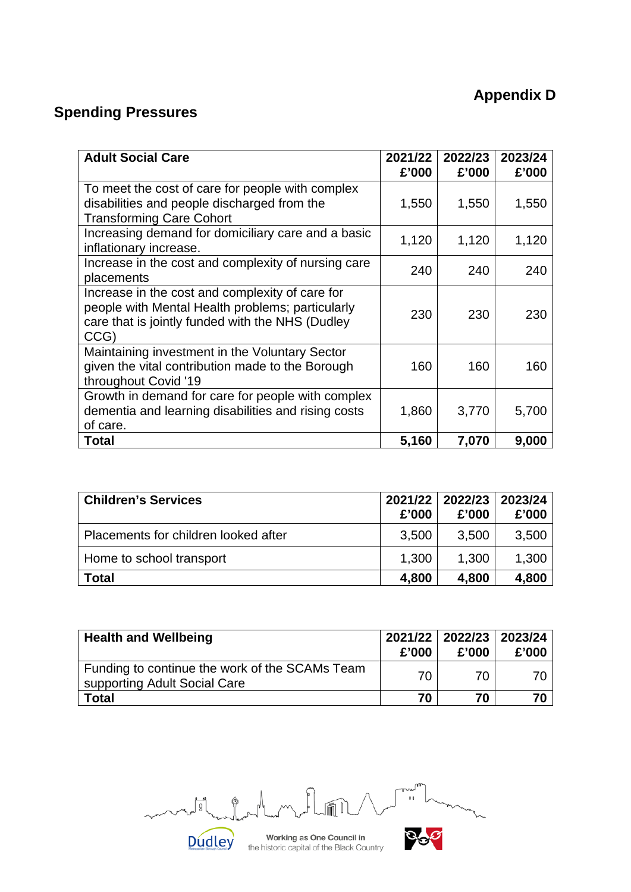# **Appendix D**

# **Spending Pressures**

| <b>Adult Social Care</b>                                                                                                                                        | 2021/22<br>£'000 | 2022/23<br>£'000 | 2023/24<br>£'000 |
|-----------------------------------------------------------------------------------------------------------------------------------------------------------------|------------------|------------------|------------------|
| To meet the cost of care for people with complex<br>disabilities and people discharged from the<br><b>Transforming Care Cohort</b>                              | 1,550            | 1,550            | 1,550            |
| Increasing demand for domiciliary care and a basic<br>inflationary increase.                                                                                    | 1,120            | 1,120            | 1,120            |
| Increase in the cost and complexity of nursing care<br>placements                                                                                               | 240              | 240              | 240              |
| Increase in the cost and complexity of care for<br>people with Mental Health problems; particularly<br>care that is jointly funded with the NHS (Dudley<br>CCG) | 230              | 230              | 230              |
| Maintaining investment in the Voluntary Sector<br>given the vital contribution made to the Borough<br>throughout Covid '19                                      | 160              | 160              | 160              |
| Growth in demand for care for people with complex<br>dementia and learning disabilities and rising costs<br>of care.                                            | 1,860            | 3,770            | 5,700            |
| <b>Total</b>                                                                                                                                                    | 5,160            | 7,070            | 9,000            |

| <b>Children's Services</b>           | £'000 | 2021/22 2022/23 2023/24<br>£'000 | £'000 |
|--------------------------------------|-------|----------------------------------|-------|
| Placements for children looked after | 3,500 | 3,500                            | 3,500 |
| Home to school transport             | 1,300 | 1,300                            | 1,300 |
| <b>Total</b>                         | 4,800 | 4,800                            | 4,800 |

| <b>Health and Wellbeing</b>                                                    | £'000 | 2021/22 2022/23 2023/24<br>£'000 | £'000 |
|--------------------------------------------------------------------------------|-------|----------------------------------|-------|
| Funding to continue the work of the SCAMs Team<br>supporting Adult Social Care | 70    | 70                               | 70.   |
| <b>Total</b>                                                                   | 70    | 70                               |       |

 $\sqrt{\ }$  $\alpha$  $\begin{bmatrix} 0 \\ 0 \\ 0 \end{bmatrix}$  $\hat{\mathbb{P}}$  $\sim$ DOP Dudley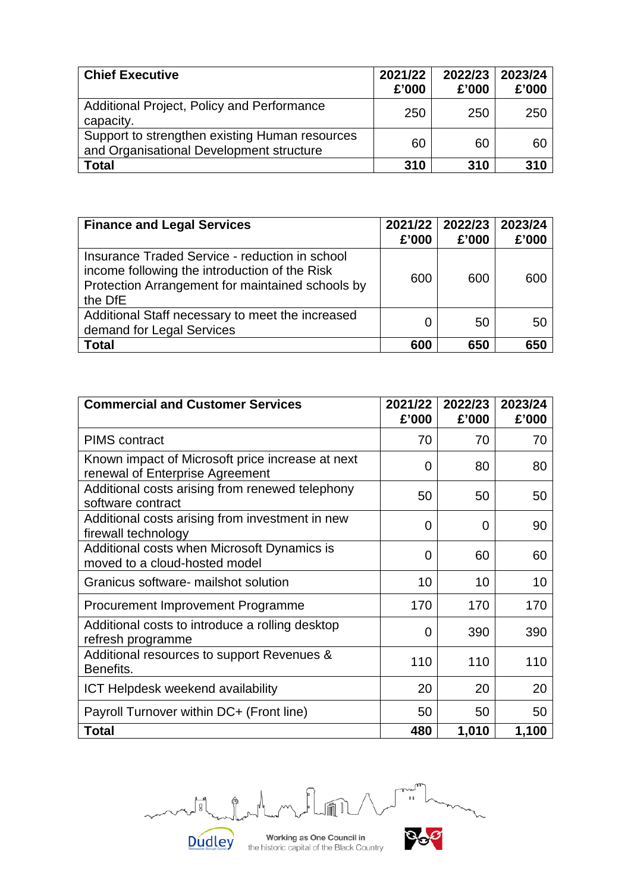| <b>Chief Executive</b>                                                                     | 2021/22<br>£'000 | 2022/23<br>£'000 | 2023/24<br>£'000 |
|--------------------------------------------------------------------------------------------|------------------|------------------|------------------|
| Additional Project, Policy and Performance<br>capacity.                                    | 250              | 250              | 250              |
| Support to strengthen existing Human resources<br>and Organisational Development structure | 60               | 60               | 60               |
| <b>Total</b>                                                                               | 310              | 310              | 310              |

| <b>Finance and Legal Services</b>                                                                                                                              | £'000 | 2021/22 2022/23<br>£'000 | 2023/24<br>£'000 |
|----------------------------------------------------------------------------------------------------------------------------------------------------------------|-------|--------------------------|------------------|
| Insurance Traded Service - reduction in school<br>income following the introduction of the Risk<br>Protection Arrangement for maintained schools by<br>the DfE | 600   | 600                      | 600              |
| Additional Staff necessary to meet the increased<br>demand for Legal Services                                                                                  |       | 50                       | 50               |
| <b>Total</b>                                                                                                                                                   | 600   | 650                      | 650              |

| <b>Commercial and Customer Services</b>                                             | 2021/22<br>£'000 | 2022/23<br>£'000 | 2023/24<br>£'000 |
|-------------------------------------------------------------------------------------|------------------|------------------|------------------|
| <b>PIMS</b> contract                                                                | 70               | 70               | 70               |
| Known impact of Microsoft price increase at next<br>renewal of Enterprise Agreement | 0                | 80               | 80               |
| Additional costs arising from renewed telephony<br>software contract                | 50               | 50               | 50               |
| Additional costs arising from investment in new<br>firewall technology              | 0                | 0                | 90               |
| Additional costs when Microsoft Dynamics is<br>moved to a cloud-hosted model        | 0                | 60               | 60               |
| Granicus software- mailshot solution                                                | 10               | 10               | 10               |
| Procurement Improvement Programme                                                   | 170              | 170              | 170              |
| Additional costs to introduce a rolling desktop<br>refresh programme                | 0                | 390              | 390              |
| Additional resources to support Revenues &<br>Benefits.                             | 110              | 110              | 110              |
| <b>ICT Helpdesk weekend availability</b>                                            | 20               | 20               | 20               |
| Payroll Turnover within DC+ (Front line)                                            | 50               | 50               | 50               |
| Total                                                                               | 480              | 1,010            | 1,100            |



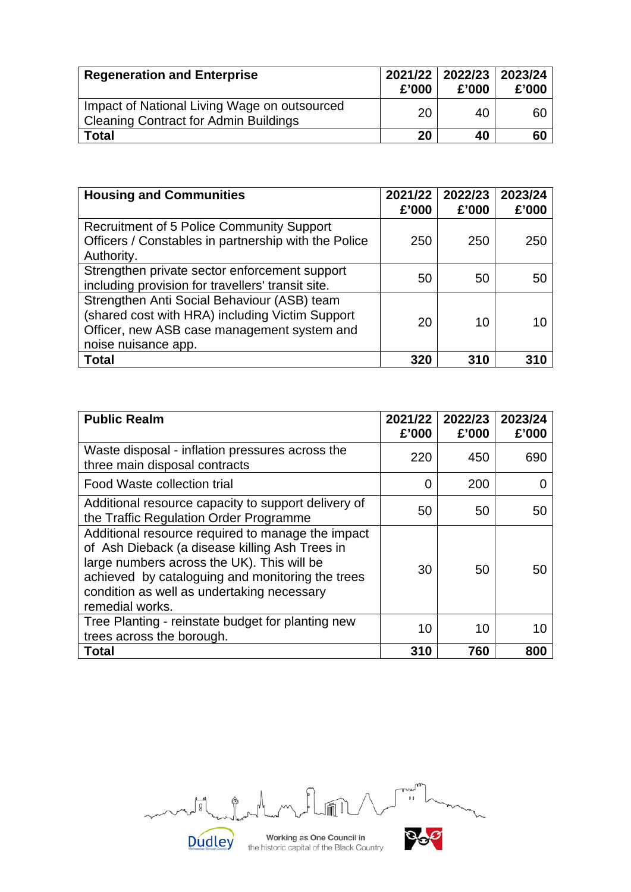| <b>Regeneration and Enterprise</b>                                                           | £'000 | 2021/22   2022/23   2023/24<br>£'000 | £'000 |
|----------------------------------------------------------------------------------------------|-------|--------------------------------------|-------|
| Impact of National Living Wage on outsourced<br><b>Cleaning Contract for Admin Buildings</b> | 20    | 40                                   | 60    |
| <b>Total</b>                                                                                 | 20    | 40                                   | 60    |

| <b>Housing and Communities</b>                                                                                                                                       | 2021/22<br>£'000 | 2022/23<br>£'000 | 2023/24<br>£'000 |
|----------------------------------------------------------------------------------------------------------------------------------------------------------------------|------------------|------------------|------------------|
| Recruitment of 5 Police Community Support<br>Officers / Constables in partnership with the Police<br>Authority.                                                      | 250              | 250              | 250              |
| Strengthen private sector enforcement support<br>including provision for travellers' transit site.                                                                   | 50               | 50               | 50               |
| Strengthen Anti Social Behaviour (ASB) team<br>(shared cost with HRA) including Victim Support<br>Officer, new ASB case management system and<br>noise nuisance app. | 20               | 10               |                  |
| Total                                                                                                                                                                | 320              | 310              | 310              |

| <b>Public Realm</b>                                                                                                                                                                                                                                                    | 2021/22<br>£'000 | 2022/23<br>£'000 | 2023/24<br>£'000 |
|------------------------------------------------------------------------------------------------------------------------------------------------------------------------------------------------------------------------------------------------------------------------|------------------|------------------|------------------|
| Waste disposal - inflation pressures across the<br>three main disposal contracts                                                                                                                                                                                       | 220              | 450              | 690              |
| Food Waste collection trial                                                                                                                                                                                                                                            | 0                | 200              |                  |
| Additional resource capacity to support delivery of<br>the Traffic Regulation Order Programme                                                                                                                                                                          | 50               | 50               | 50               |
| Additional resource required to manage the impact<br>of Ash Dieback (a disease killing Ash Trees in<br>large numbers across the UK). This will be<br>achieved by cataloguing and monitoring the trees<br>condition as well as undertaking necessary<br>remedial works. | 30               | 50               | 50               |
| Tree Planting - reinstate budget for planting new<br>trees across the borough.                                                                                                                                                                                         | 10               | 10               | 10               |
| Total                                                                                                                                                                                                                                                                  | 310              | 760              | 800              |

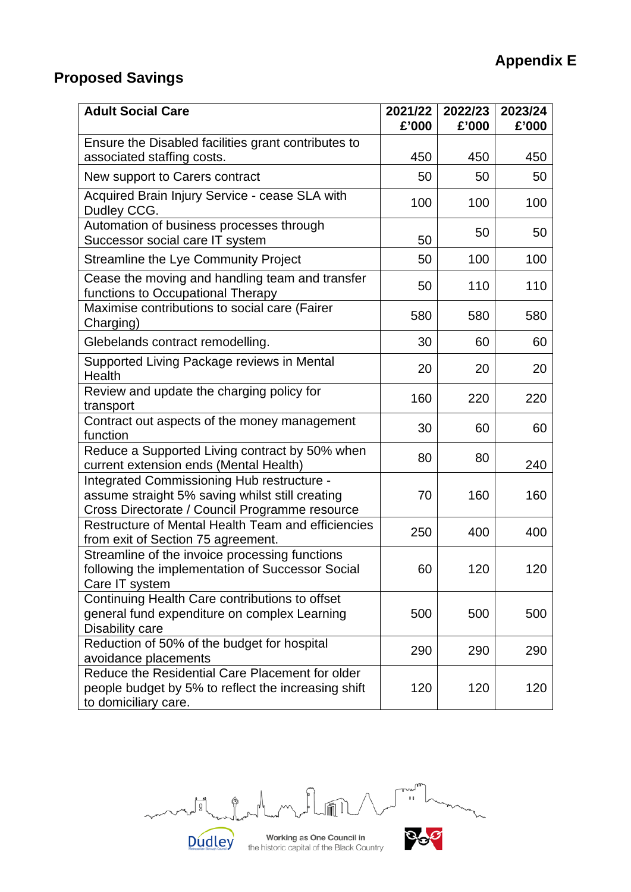# **Proposed Savings**

| <b>Adult Social Care</b>                                                                                                                        | 2021/22<br>£'000 | 2022/23<br>£'000 | 2023/24<br>£'000 |
|-------------------------------------------------------------------------------------------------------------------------------------------------|------------------|------------------|------------------|
| Ensure the Disabled facilities grant contributes to                                                                                             |                  |                  |                  |
| associated staffing costs.                                                                                                                      | 450              | 450              | 450              |
| New support to Carers contract                                                                                                                  | 50               | 50               | 50               |
| Acquired Brain Injury Service - cease SLA with<br>Dudley CCG.                                                                                   | 100              | 100              | 100              |
| Automation of business processes through<br>Successor social care IT system                                                                     | 50               | 50               | 50               |
| <b>Streamline the Lye Community Project</b>                                                                                                     | 50               | 100              | 100              |
| Cease the moving and handling team and transfer<br>functions to Occupational Therapy                                                            | 50               | 110              | 110              |
| Maximise contributions to social care (Fairer<br>Charging)                                                                                      | 580              | 580              | 580              |
| Glebelands contract remodelling.                                                                                                                | 30               | 60               | 60               |
| Supported Living Package reviews in Mental<br>Health                                                                                            | 20               | 20               | 20               |
| Review and update the charging policy for<br>transport                                                                                          | 160              | 220              | 220              |
| Contract out aspects of the money management<br>function                                                                                        | 30               | 60               | 60               |
| Reduce a Supported Living contract by 50% when<br>current extension ends (Mental Health)                                                        | 80               | 80               | 240              |
| Integrated Commissioning Hub restructure -<br>assume straight 5% saving whilst still creating<br>Cross Directorate / Council Programme resource | 70               | 160              | 160              |
| Restructure of Mental Health Team and efficiencies<br>from exit of Section 75 agreement.                                                        | 250              | 400              | 400              |
| Streamline of the invoice processing functions<br>following the implementation of Successor Social<br>Care IT system                            | 60               | 120              | 120              |
| Continuing Health Care contributions to offset<br>general fund expenditure on complex Learning<br>Disability care                               | 500              | 500              | 500              |
| Reduction of 50% of the budget for hospital<br>avoidance placements                                                                             | 290              | 290              | 290              |
| Reduce the Residential Care Placement for older<br>people budget by 5% to reflect the increasing shift<br>to domiciliary care.                  | 120              | 120              | 120              |

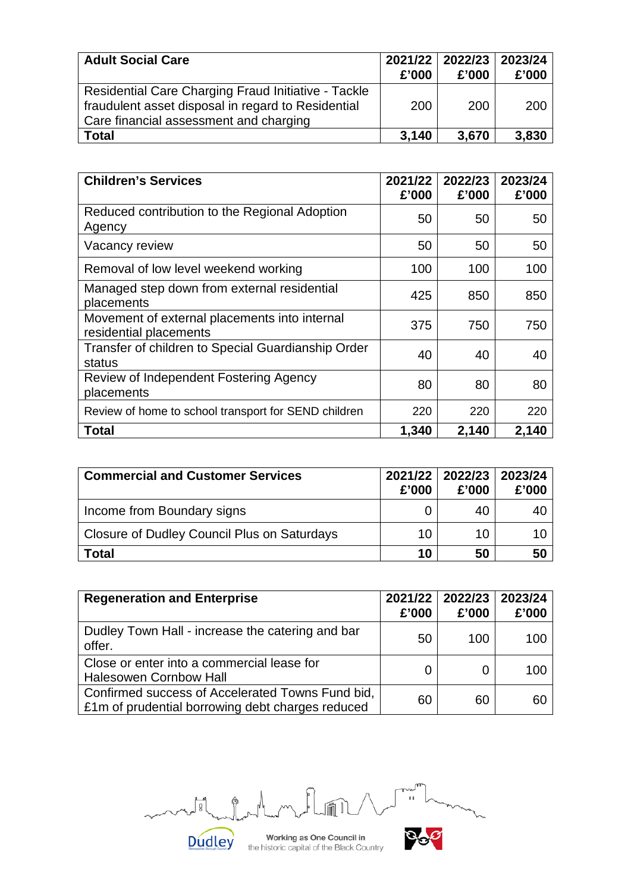| <b>Adult Social Care</b>                                                                                                                            | £'000 | 2021/22 2022/23 2023/24<br>£'000 | £'000 |
|-----------------------------------------------------------------------------------------------------------------------------------------------------|-------|----------------------------------|-------|
| Residential Care Charging Fraud Initiative - Tackle<br>fraudulent asset disposal in regard to Residential<br>Care financial assessment and charging | 200   | 200                              | 200   |
| <b>Total</b>                                                                                                                                        | 3,140 | 3,670                            | 3,830 |

| <b>Children's Services</b>                                              | 2021/22<br>£'000 | 2022/23<br>£'000 | 2023/24<br>£'000 |
|-------------------------------------------------------------------------|------------------|------------------|------------------|
| Reduced contribution to the Regional Adoption<br>Agency                 | 50               | 50               | 50               |
| Vacancy review                                                          | 50               | 50               | 50               |
| Removal of low level weekend working                                    | 100              | 100              | 100              |
| Managed step down from external residential<br>placements               | 425              | 850              | 850              |
| Movement of external placements into internal<br>residential placements | 375              | 750              | 750              |
| Transfer of children to Special Guardianship Order<br>status            | 40               | 40               | 40               |
| Review of Independent Fostering Agency<br>placements                    | 80               | 80               | 80               |
| Review of home to school transport for SEND children                    | 220              | 220              | 220              |
| <b>Total</b>                                                            | 1,340            | 2,140            | 2,140            |

| <b>Commercial and Customer Services</b>     | 2021/22<br>£'000 | 2022/23 <br>£'000 | 2023/24<br>£'000 |
|---------------------------------------------|------------------|-------------------|------------------|
| Income from Boundary signs                  |                  | 40                | -40              |
| Closure of Dudley Council Plus on Saturdays | 10               | 10                | 10               |
| Total                                       | 10               | 50                | 50               |

| <b>Regeneration and Enterprise</b>                                                                   | 2021/22<br>£'000 | 2022/23 <br>£'000 | 2023/24<br>£'000 |
|------------------------------------------------------------------------------------------------------|------------------|-------------------|------------------|
| Dudley Town Hall - increase the catering and bar<br>offer.                                           | 50               | 100               | 100              |
| Close or enter into a commercial lease for<br><b>Halesowen Cornbow Hall</b>                          |                  | O                 | 100              |
| Confirmed success of Accelerated Towns Fund bid,<br>£1m of prudential borrowing debt charges reduced | 60               | 60                | 60               |

m  $\frac{1}{11}$  $\frac{1}{2}$ ¢ **Dudley** 

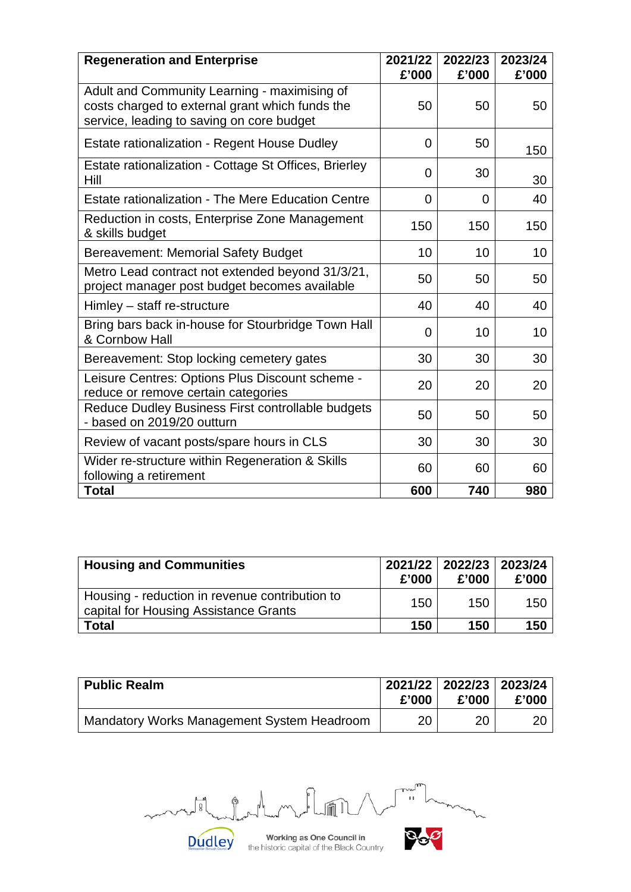| <b>Regeneration and Enterprise</b>                                                                                                           | 2021/22<br>£'000 | 2022/23<br>£'000 | 2023/24<br>£'000 |
|----------------------------------------------------------------------------------------------------------------------------------------------|------------------|------------------|------------------|
| Adult and Community Learning - maximising of<br>costs charged to external grant which funds the<br>service, leading to saving on core budget | 50               | 50               | 50               |
| Estate rationalization - Regent House Dudley                                                                                                 | 0                | 50               | 150              |
| Estate rationalization - Cottage St Offices, Brierley<br>Hill                                                                                | 0                | 30               | 30               |
| <b>Estate rationalization - The Mere Education Centre</b>                                                                                    | $\Omega$         | 0                | 40               |
| Reduction in costs, Enterprise Zone Management<br>& skills budget                                                                            | 150              | 150              | 150              |
| <b>Bereavement: Memorial Safety Budget</b>                                                                                                   | 10               | 10               | 10               |
| Metro Lead contract not extended beyond 31/3/21,<br>project manager post budget becomes available                                            | 50               | 50               | 50               |
| Himley - staff re-structure                                                                                                                  | 40               | 40               | 40               |
| Bring bars back in-house for Stourbridge Town Hall<br>& Cornbow Hall                                                                         | $\Omega$         | 10               | 10               |
| Bereavement: Stop locking cemetery gates                                                                                                     | 30               | 30               | 30               |
| Leisure Centres: Options Plus Discount scheme -<br>reduce or remove certain categories                                                       | 20               | 20               | 20               |
| Reduce Dudley Business First controllable budgets<br>- based on 2019/20 outturn                                                              | 50               | 50               | 50               |
| Review of vacant posts/spare hours in CLS                                                                                                    | 30               | 30               | 30               |
| Wider re-structure within Regeneration & Skills<br>following a retirement                                                                    | 60               | 60               | 60               |
| <b>Total</b>                                                                                                                                 | 600              | 740              | 980              |

| <b>Housing and Communities</b>                                                          | £'000 | 2021/22 2022/23 2023/24<br>£'000 | £'000 |
|-----------------------------------------------------------------------------------------|-------|----------------------------------|-------|
| Housing - reduction in revenue contribution to<br>capital for Housing Assistance Grants | 150   | 150                              | 150   |
| <b>Total</b>                                                                            | 150   | 150                              | 150   |

| <b>Public Realm</b>                        | 2021/22 2022/23 2023/24<br>£'000 | £'000 | £'000 |
|--------------------------------------------|----------------------------------|-------|-------|
| Mandatory Works Management System Headroom | 20                               | 20    |       |

m  $\frac{1}{11}$  $\frac{1}{2}$ ¢

**Dudley**